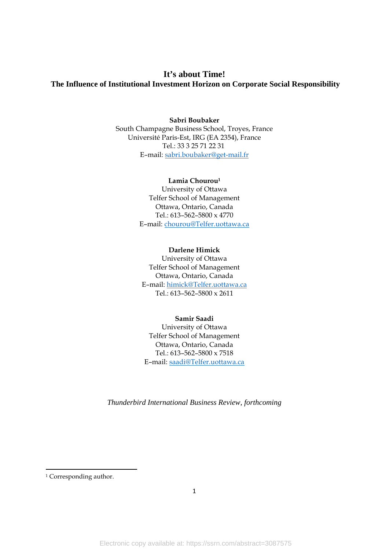## **It's about Time! The Influence of Institutional Investment Horizon on Corporate Social Responsibility**

### **Sabri Boubaker**

South Champagne Business School, Troyes, France Université Paris-Est, IRG (EA 2354), France Tel.: 33 3 25 71 22 31 E–mail: sabri.boubaker@get-mail.fr

#### **Lamia Chourou1**

University of Ottawa Telfer School of Management Ottawa, Ontario, Canada Tel.: 613–562–5800 x 4770 E–mail: chourou@Telfer.uottawa.ca

### **Darlene Himick**

University of Ottawa Telfer School of Management Ottawa, Ontario, Canada E–mail: himick@Telfer.uottawa.ca Tel.: 613–562–5800 x 2611

### **Samir Saadi**

University of Ottawa Telfer School of Management Ottawa, Ontario, Canada Tel.: 613–562–5800 x 7518 E–mail: saadi@Telfer.uottawa.ca

*Thunderbird International Business Review, forthcoming*

<sup>&</sup>lt;sup>1</sup> Corresponding author.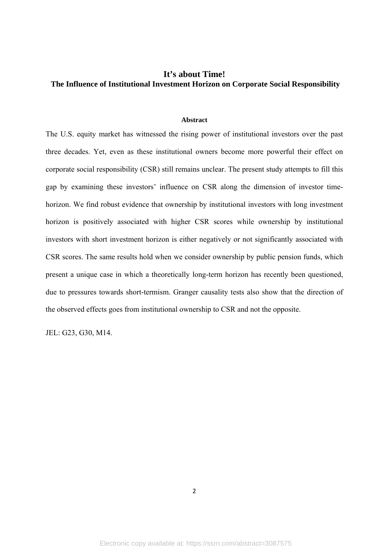## **It's about Time! The Influence of Institutional Investment Horizon on Corporate Social Responsibility**

#### **Abstract**

The U.S. equity market has witnessed the rising power of institutional investors over the past three decades. Yet, even as these institutional owners become more powerful their effect on corporate social responsibility (CSR) still remains unclear. The present study attempts to fill this gap by examining these investors' influence on CSR along the dimension of investor timehorizon. We find robust evidence that ownership by institutional investors with long investment horizon is positively associated with higher CSR scores while ownership by institutional investors with short investment horizon is either negatively or not significantly associated with CSR scores. The same results hold when we consider ownership by public pension funds, which present a unique case in which a theoretically long-term horizon has recently been questioned, due to pressures towards short-termism. Granger causality tests also show that the direction of the observed effects goes from institutional ownership to CSR and not the opposite.

JEL: G23, G30, M14.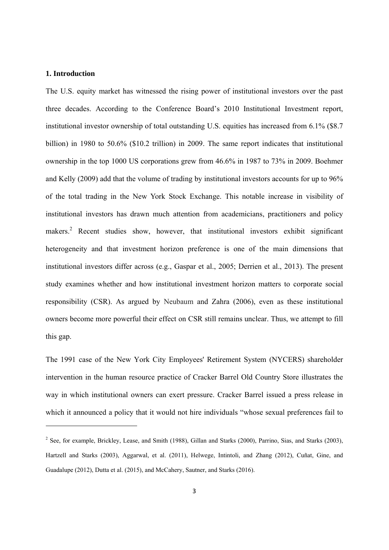#### **1. Introduction**

The U.S. equity market has witnessed the rising power of institutional investors over the past three decades. According to the Conference Board's 2010 Institutional Investment report, institutional investor ownership of total outstanding U.S. equities has increased from 6.1% (\$8.7 billion) in 1980 to 50.6% (\$10.2 trillion) in 2009. The same report indicates that institutional ownership in the top 1000 US corporations grew from 46.6% in 1987 to 73% in 2009. Boehmer and Kelly (2009) add that the volume of trading by institutional investors accounts for up to 96% of the total trading in the New York Stock Exchange. This notable increase in visibility of institutional investors has drawn much attention from academicians, practitioners and policy makers.<sup>2</sup> Recent studies show, however, that institutional investors exhibit significant heterogeneity and that investment horizon preference is one of the main dimensions that institutional investors differ across (e.g., Gaspar et al., 2005; Derrien et al., 2013). The present study examines whether and how institutional investment horizon matters to corporate social responsibility (CSR). As argued by Neubaum and Zahra (2006), even as these institutional owners become more powerful their effect on CSR still remains unclear. Thus, we attempt to fill this gap.

The 1991 case of the New York City Employees' Retirement System (NYCERS) shareholder intervention in the human resource practice of Cracker Barrel Old Country Store illustrates the way in which institutional owners can exert pressure. Cracker Barrel issued a press release in which it announced a policy that it would not hire individuals "whose sexual preferences fail to

 $2^2$  See, for example, Brickley, Lease, and Smith (1988), Gillan and Starks (2000), Parrino, Sias, and Starks (2003), Hartzell and Starks (2003), Aggarwal, et al. (2011), Helwege, Intintoli, and Zhang (2012), Cuñat, Gine, and Guadalupe (2012), Dutta et al. (2015), and McCahery, Sautner, and Starks (2016).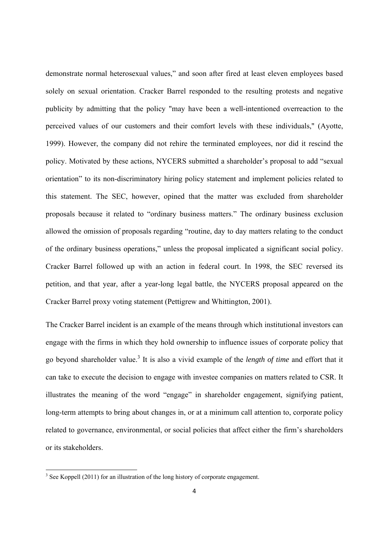demonstrate normal heterosexual values," and soon after fired at least eleven employees based solely on sexual orientation. Cracker Barrel responded to the resulting protests and negative publicity by admitting that the policy "may have been a well-intentioned overreaction to the perceived values of our customers and their comfort levels with these individuals," (Ayotte, 1999). However, the company did not rehire the terminated employees, nor did it rescind the policy. Motivated by these actions, NYCERS submitted a shareholder's proposal to add "sexual orientation" to its non-discriminatory hiring policy statement and implement policies related to this statement. The SEC, however, opined that the matter was excluded from shareholder proposals because it related to "ordinary business matters." The ordinary business exclusion allowed the omission of proposals regarding "routine, day to day matters relating to the conduct of the ordinary business operations," unless the proposal implicated a significant social policy. Cracker Barrel followed up with an action in federal court. In 1998, the SEC reversed its petition, and that year, after a year-long legal battle, the NYCERS proposal appeared on the Cracker Barrel proxy voting statement (Pettigrew and Whittington, 2001).

The Cracker Barrel incident is an example of the means through which institutional investors can engage with the firms in which they hold ownership to influence issues of corporate policy that go beyond shareholder value.<sup>3</sup> It is also a vivid example of the *length of time* and effort that it can take to execute the decision to engage with investee companies on matters related to CSR. It illustrates the meaning of the word "engage" in shareholder engagement, signifying patient, long-term attempts to bring about changes in, or at a minimum call attention to, corporate policy related to governance, environmental, or social policies that affect either the firm's shareholders or its stakeholders.

<sup>&</sup>lt;sup>3</sup> See Koppell (2011) for an illustration of the long history of corporate engagement.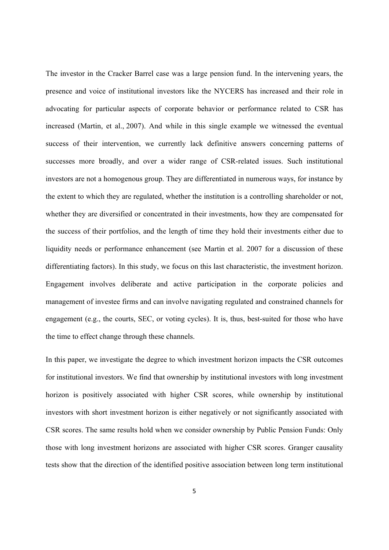The investor in the Cracker Barrel case was a large pension fund. In the intervening years, the presence and voice of institutional investors like the NYCERS has increased and their role in advocating for particular aspects of corporate behavior or performance related to CSR has increased (Martin, et al., 2007). And while in this single example we witnessed the eventual success of their intervention, we currently lack definitive answers concerning patterns of successes more broadly, and over a wider range of CSR-related issues. Such institutional investors are not a homogenous group. They are differentiated in numerous ways, for instance by the extent to which they are regulated, whether the institution is a controlling shareholder or not, whether they are diversified or concentrated in their investments, how they are compensated for the success of their portfolios, and the length of time they hold their investments either due to liquidity needs or performance enhancement (see Martin et al. 2007 for a discussion of these differentiating factors). In this study, we focus on this last characteristic, the investment horizon. Engagement involves deliberate and active participation in the corporate policies and management of investee firms and can involve navigating regulated and constrained channels for engagement (e.g., the courts, SEC, or voting cycles). It is, thus, best-suited for those who have the time to effect change through these channels.

In this paper, we investigate the degree to which investment horizon impacts the CSR outcomes for institutional investors. We find that ownership by institutional investors with long investment horizon is positively associated with higher CSR scores, while ownership by institutional investors with short investment horizon is either negatively or not significantly associated with CSR scores. The same results hold when we consider ownership by Public Pension Funds: Only those with long investment horizons are associated with higher CSR scores. Granger causality tests show that the direction of the identified positive association between long term institutional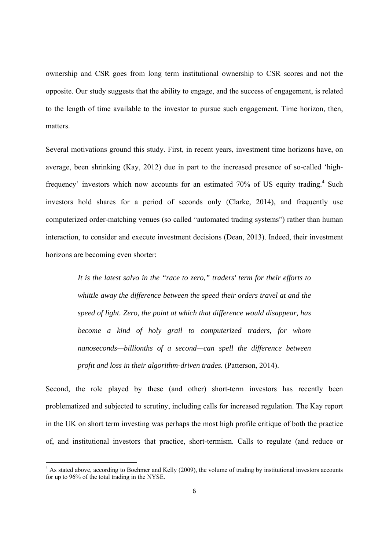ownership and CSR goes from long term institutional ownership to CSR scores and not the opposite. Our study suggests that the ability to engage, and the success of engagement, is related to the length of time available to the investor to pursue such engagement. Time horizon, then, matters.

Several motivations ground this study. First, in recent years, investment time horizons have, on average, been shrinking (Kay, 2012) due in part to the increased presence of so-called 'highfrequency' investors which now accounts for an estimated 70% of US equity trading.<sup>4</sup> Such investors hold shares for a period of seconds only (Clarke, 2014), and frequently use computerized order-matching venues (so called "automated trading systems") rather than human interaction, to consider and execute investment decisions (Dean, 2013). Indeed, their investment horizons are becoming even shorter:

> *It is the latest salvo in the "race to zero," traders' term for their efforts to whittle away the difference between the speed their orders travel at and the speed of light. Zero, the point at which that difference would disappear, has become a kind of holy grail to computerized traders, for whom nanoseconds—billionths of a second—can spell the difference between profit and loss in their algorithm-driven trades.* (Patterson, 2014).

Second, the role played by these (and other) short-term investors has recently been problematized and subjected to scrutiny, including calls for increased regulation. The Kay report in the UK on short term investing was perhaps the most high profile critique of both the practice of, and institutional investors that practice, short-termism. Calls to regulate (and reduce or

<sup>&</sup>lt;sup>4</sup> As stated above, according to Boehmer and Kelly (2009), the volume of trading by institutional investors accounts for up to 96% of the total trading in the NYSE.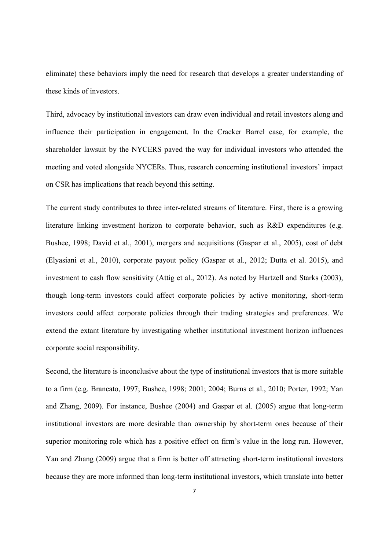eliminate) these behaviors imply the need for research that develops a greater understanding of these kinds of investors.

Third, advocacy by institutional investors can draw even individual and retail investors along and influence their participation in engagement. In the Cracker Barrel case, for example, the shareholder lawsuit by the NYCERS paved the way for individual investors who attended the meeting and voted alongside NYCERs. Thus, research concerning institutional investors' impact on CSR has implications that reach beyond this setting.

The current study contributes to three inter-related streams of literature. First, there is a growing literature linking investment horizon to corporate behavior, such as R&D expenditures (e.g. Bushee, 1998; David et al., 2001), mergers and acquisitions (Gaspar et al., 2005), cost of debt (Elyasiani et al., 2010), corporate payout policy (Gaspar et al., 2012; Dutta et al. 2015), and investment to cash flow sensitivity (Attig et al., 2012). As noted by Hartzell and Starks (2003), though long-term investors could affect corporate policies by active monitoring, short-term investors could affect corporate policies through their trading strategies and preferences. We extend the extant literature by investigating whether institutional investment horizon influences corporate social responsibility.

Second, the literature is inconclusive about the type of institutional investors that is more suitable to a firm (e.g. Brancato, 1997; Bushee, 1998; 2001; 2004; Burns et al., 2010; Porter, 1992; Yan and Zhang, 2009). For instance, Bushee (2004) and Gaspar et al. (2005) argue that long-term institutional investors are more desirable than ownership by short-term ones because of their superior monitoring role which has a positive effect on firm's value in the long run. However, Yan and Zhang (2009) argue that a firm is better off attracting short-term institutional investors because they are more informed than long-term institutional investors, which translate into better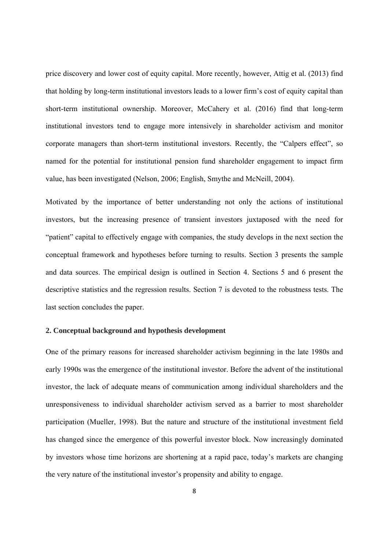price discovery and lower cost of equity capital. More recently, however, Attig et al. (2013) find that holding by long-term institutional investors leads to a lower firm's cost of equity capital than short-term institutional ownership. Moreover, McCahery et al. (2016) find that long-term institutional investors tend to engage more intensively in shareholder activism and monitor corporate managers than short-term institutional investors. Recently, the "Calpers effect", so named for the potential for institutional pension fund shareholder engagement to impact firm value, has been investigated (Nelson, 2006; English, Smythe and McNeill, 2004).

Motivated by the importance of better understanding not only the actions of institutional investors, but the increasing presence of transient investors juxtaposed with the need for "patient" capital to effectively engage with companies, the study develops in the next section the conceptual framework and hypotheses before turning to results. Section 3 presents the sample and data sources. The empirical design is outlined in Section 4. Sections 5 and 6 present the descriptive statistics and the regression results. Section 7 is devoted to the robustness tests. The last section concludes the paper.

#### **2. Conceptual background and hypothesis development**

One of the primary reasons for increased shareholder activism beginning in the late 1980s and early 1990s was the emergence of the institutional investor. Before the advent of the institutional investor, the lack of adequate means of communication among individual shareholders and the unresponsiveness to individual shareholder activism served as a barrier to most shareholder participation (Mueller, 1998). But the nature and structure of the institutional investment field has changed since the emergence of this powerful investor block. Now increasingly dominated by investors whose time horizons are shortening at a rapid pace, today's markets are changing the very nature of the institutional investor's propensity and ability to engage.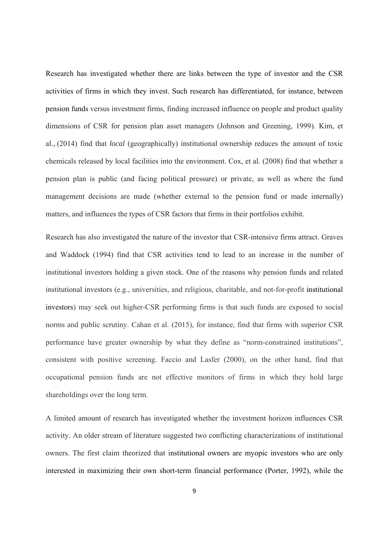Research has investigated whether there are links between the type of investor and the CSR activities of firms in which they invest. Such research has differentiated, for instance, between pension funds versus investment firms, finding increased influence on people and product quality dimensions of CSR for pension plan asset managers (Johnson and Greening, 1999). Kim, et al., (2014) find that *local* (geographically) institutional ownership reduces the amount of toxic chemicals released by local facilities into the environment. Cox, et al. (2008) find that whether a pension plan is public (and facing political pressure) or private, as well as where the fund management decisions are made (whether external to the pension fund or made internally) matters, and influences the types of CSR factors that firms in their portfolios exhibit.

Research has also investigated the nature of the investor that CSR-intensive firms attract. Graves and Waddock (1994) find that CSR activities tend to lead to an increase in the number of institutional investors holding a given stock. One of the reasons why pension funds and related institutional investors (e.g., universities, and religious, charitable, and not-for-profit institutional investors) may seek out higher-CSR performing firms is that such funds are exposed to social norms and public scrutiny. Cahan et al. (2015), for instance, find that firms with superior CSR performance have greater ownership by what they define as "norm-constrained institutions", consistent with positive screening. Faccio and Lasfer (2000), on the other hand, find that occupational pension funds are not effective monitors of firms in which they hold large shareholdings over the long term.

A limited amount of research has investigated whether the investment horizon influences CSR activity. An older stream of literature suggested two conflicting characterizations of institutional owners. The first claim theorized that institutional owners are myopic investors who are only interested in maximizing their own short-term financial performance (Porter, 1992), while the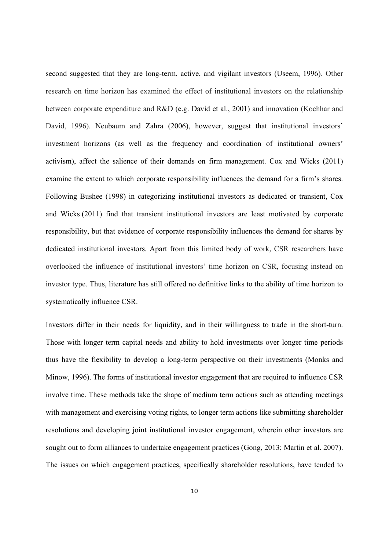second suggested that they are long-term, active, and vigilant investors (Useem, 1996). Other research on time horizon has examined the effect of institutional investors on the relationship between corporate expenditure and R&D (e.g. David et al., 2001) and innovation (Kochhar and David, 1996). Neubaum and Zahra (2006), however, suggest that institutional investors' investment horizons (as well as the frequency and coordination of institutional owners' activism), affect the salience of their demands on firm management. Cox and Wicks (2011) examine the extent to which corporate responsibility influences the demand for a firm's shares. Following Bushee (1998) in categorizing institutional investors as dedicated or transient, Cox and Wicks (2011) find that transient institutional investors are least motivated by corporate responsibility, but that evidence of corporate responsibility influences the demand for shares by dedicated institutional investors. Apart from this limited body of work, CSR researchers have overlooked the influence of institutional investors' time horizon on CSR, focusing instead on investor type. Thus, literature has still offered no definitive links to the ability of time horizon to systematically influence CSR.

Investors differ in their needs for liquidity, and in their willingness to trade in the short-turn. Those with longer term capital needs and ability to hold investments over longer time periods thus have the flexibility to develop a long-term perspective on their investments (Monks and Minow, 1996). The forms of institutional investor engagement that are required to influence CSR involve time. These methods take the shape of medium term actions such as attending meetings with management and exercising voting rights, to longer term actions like submitting shareholder resolutions and developing joint institutional investor engagement, wherein other investors are sought out to form alliances to undertake engagement practices (Gong, 2013; Martin et al. 2007). The issues on which engagement practices, specifically shareholder resolutions, have tended to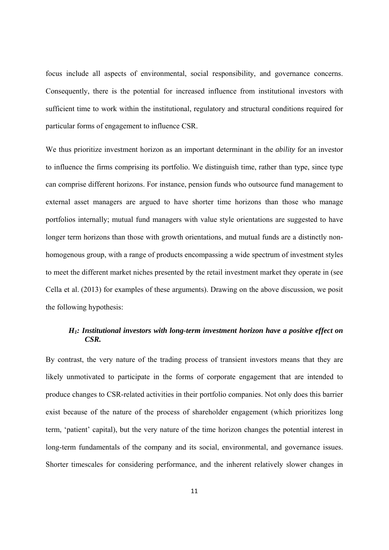focus include all aspects of environmental, social responsibility, and governance concerns. Consequently, there is the potential for increased influence from institutional investors with sufficient time to work within the institutional, regulatory and structural conditions required for particular forms of engagement to influence CSR.

We thus prioritize investment horizon as an important determinant in the *ability* for an investor to influence the firms comprising its portfolio. We distinguish time, rather than type, since type can comprise different horizons. For instance, pension funds who outsource fund management to external asset managers are argued to have shorter time horizons than those who manage portfolios internally; mutual fund managers with value style orientations are suggested to have longer term horizons than those with growth orientations, and mutual funds are a distinctly nonhomogenous group, with a range of products encompassing a wide spectrum of investment styles to meet the different market niches presented by the retail investment market they operate in (see Cella et al. (2013) for examples of these arguments). Drawing on the above discussion, we posit the following hypothesis:

## *H1: Institutional investors with long-term investment horizon have a positive effect on CSR.*

By contrast, the very nature of the trading process of transient investors means that they are likely unmotivated to participate in the forms of corporate engagement that are intended to produce changes to CSR-related activities in their portfolio companies. Not only does this barrier exist because of the nature of the process of shareholder engagement (which prioritizes long term, 'patient' capital), but the very nature of the time horizon changes the potential interest in long-term fundamentals of the company and its social, environmental, and governance issues. Shorter timescales for considering performance, and the inherent relatively slower changes in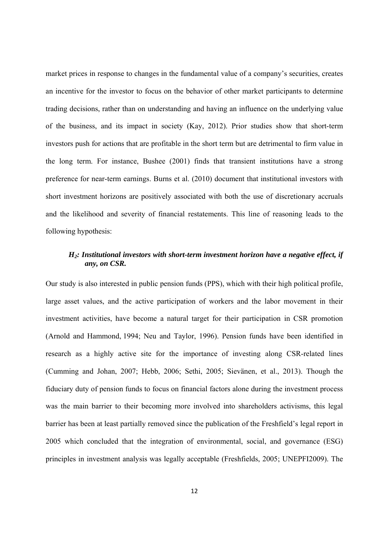market prices in response to changes in the fundamental value of a company's securities, creates an incentive for the investor to focus on the behavior of other market participants to determine trading decisions, rather than on understanding and having an influence on the underlying value of the business, and its impact in society (Kay, 2012). Prior studies show that short-term investors push for actions that are profitable in the short term but are detrimental to firm value in the long term. For instance, Bushee (2001) finds that transient institutions have a strong preference for near-term earnings. Burns et al. (2010) document that institutional investors with short investment horizons are positively associated with both the use of discretionary accruals and the likelihood and severity of financial restatements. This line of reasoning leads to the following hypothesis:

## *H2: Institutional investors with short-term investment horizon have a negative effect, if any, on CSR.*

Our study is also interested in public pension funds (PPS), which with their high political profile, large asset values, and the active participation of workers and the labor movement in their investment activities, have become a natural target for their participation in CSR promotion (Arnold and Hammond, 1994; Neu and Taylor, 1996). Pension funds have been identified in research as a highly active site for the importance of investing along CSR-related lines (Cumming and Johan, 2007; Hebb, 2006; Sethi, 2005; Sievänen, et al., 2013). Though the fiduciary duty of pension funds to focus on financial factors alone during the investment process was the main barrier to their becoming more involved into shareholders activisms, this legal barrier has been at least partially removed since the publication of the Freshfield's legal report in 2005 which concluded that the integration of environmental, social, and governance (ESG) principles in investment analysis was legally acceptable (Freshfields, 2005; UNEPFI2009). The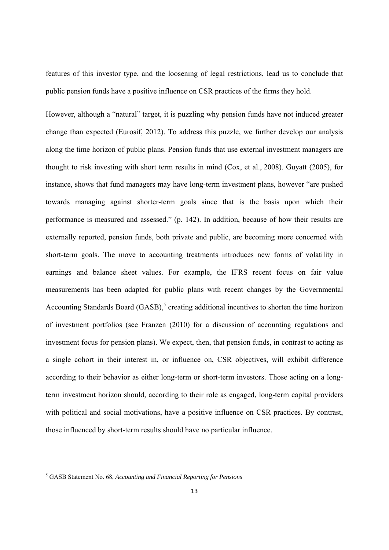features of this investor type, and the loosening of legal restrictions, lead us to conclude that public pension funds have a positive influence on CSR practices of the firms they hold.

However, although a "natural" target, it is puzzling why pension funds have not induced greater change than expected (Eurosif, 2012). To address this puzzle, we further develop our analysis along the time horizon of public plans. Pension funds that use external investment managers are thought to risk investing with short term results in mind (Cox, et al., 2008). Guyatt (2005), for instance, shows that fund managers may have long-term investment plans, however "are pushed towards managing against shorter-term goals since that is the basis upon which their performance is measured and assessed." (p. 142). In addition, because of how their results are externally reported, pension funds, both private and public, are becoming more concerned with short-term goals. The move to accounting treatments introduces new forms of volatility in earnings and balance sheet values. For example, the IFRS recent focus on fair value measurements has been adapted for public plans with recent changes by the Governmental Accounting Standards Board  $(GASB)$ ,<sup>5</sup> creating additional incentives to shorten the time horizon of investment portfolios (see Franzen (2010) for a discussion of accounting regulations and investment focus for pension plans). We expect, then, that pension funds, in contrast to acting as a single cohort in their interest in, or influence on, CSR objectives, will exhibit difference according to their behavior as either long-term or short-term investors. Those acting on a longterm investment horizon should, according to their role as engaged, long-term capital providers with political and social motivations, have a positive influence on CSR practices. By contrast, those influenced by short-term results should have no particular influence.

<sup>5</sup> GASB Statement No. 68, *Accounting and Financial Reporting for Pensions*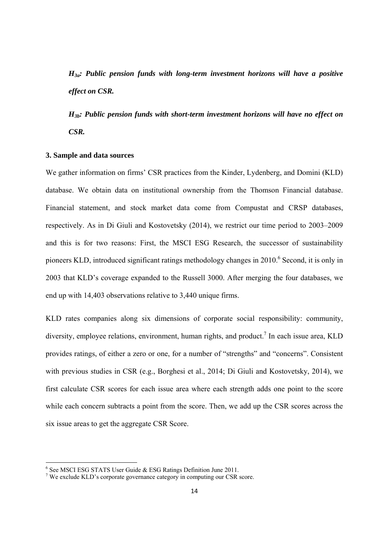*H3a: Public pension funds with long-term investment horizons will have a positive effect on CSR.* 

*H3b: Public pension funds with short-term investment horizons will have no effect on CSR.* 

### **3. Sample and data sources**

We gather information on firms' CSR practices from the Kinder, Lydenberg, and Domini (KLD) database. We obtain data on institutional ownership from the Thomson Financial database. Financial statement, and stock market data come from Compustat and CRSP databases, respectively. As in Di Giuli and Kostovetsky (2014), we restrict our time period to 2003–2009 and this is for two reasons: First, the MSCI ESG Research, the successor of sustainability pioneers KLD, introduced significant ratings methodology changes in 2010.<sup>6</sup> Second, it is only in 2003 that KLD's coverage expanded to the Russell 3000. After merging the four databases, we end up with 14,403 observations relative to 3,440 unique firms.

KLD rates companies along six dimensions of corporate social responsibility: community, diversity, employee relations, environment, human rights, and product.<sup>7</sup> In each issue area, KLD provides ratings, of either a zero or one, for a number of "strengths" and "concerns". Consistent with previous studies in CSR (e.g., Borghesi et al., 2014; Di Giuli and Kostovetsky, 2014), we first calculate CSR scores for each issue area where each strength adds one point to the score while each concern subtracts a point from the score. Then, we add up the CSR scores across the six issue areas to get the aggregate CSR Score.

<sup>6</sup> See MSCI ESG STATS User Guide & ESG Ratings Definition June 2011.

<sup>&</sup>lt;sup>7</sup> We exclude KLD's corporate governance category in computing our CSR score.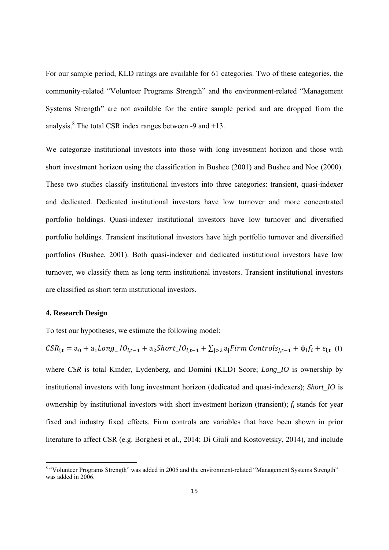For our sample period, KLD ratings are available for 61 categories. Two of these categories, the community-related "Volunteer Programs Strength" and the environment-related "Management Systems Strength" are not available for the entire sample period and are dropped from the analysis. $8$  The total CSR index ranges between -9 and +13.

We categorize institutional investors into those with long investment horizon and those with short investment horizon using the classification in Bushee (2001) and Bushee and Noe (2000). These two studies classify institutional investors into three categories: transient, quasi-indexer and dedicated. Dedicated institutional investors have low turnover and more concentrated portfolio holdings. Quasi-indexer institutional investors have low turnover and diversified portfolio holdings. Transient institutional investors have high portfolio turnover and diversified portfolios (Bushee, 2001). Both quasi-indexer and dedicated institutional investors have low turnover, we classify them as long term institutional investors. Transient institutional investors are classified as short term institutional investors.

## **4. Research Design**

To test our hypotheses, we estimate the following model:

 $CSR_{i,t} = a_0 + a_1 Long\_IO_{i,t-1} + a_2 Short\_IO_{i,t-1} + \sum_{j>2} a_j Firm\,Controls_{j,t-1} + \psi_i f_i + \varepsilon_{i,t}$  (1) where *CSR* is total Kinder, Lydenberg, and Domini (KLD) Score; *Long IO* is ownership by institutional investors with long investment horizon (dedicated and quasi-indexers); *Short\_IO* is ownership by institutional investors with short investment horizon (transient); *fi* stands for year fixed and industry fixed effects. Firm controls are variables that have been shown in prior literature to affect CSR (e.g. Borghesi et al., 2014; Di Giuli and Kostovetsky, 2014), and include

<sup>&</sup>lt;sup>8</sup> "Volunteer Programs Strength" was added in 2005 and the environment-related "Management Systems Strength" was added in 2006.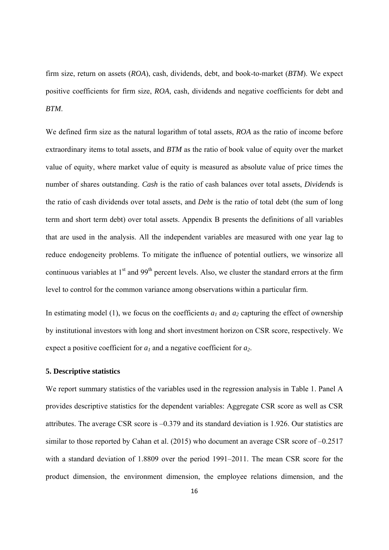firm size, return on assets (*ROA*), cash, dividends, debt, and book-to-market (*BTM*). We expect positive coefficients for firm size, *ROA*, cash, dividends and negative coefficients for debt and *BTM*.

We defined firm size as the natural logarithm of total assets, *ROA* as the ratio of income before extraordinary items to total assets, and *BTM* as the ratio of book value of equity over the market value of equity, where market value of equity is measured as absolute value of price times the number of shares outstanding. *Cash* is the ratio of cash balances over total assets, *Dividends* is the ratio of cash dividends over total assets, and *Debt* is the ratio of total debt (the sum of long term and short term debt) over total assets. Appendix B presents the definitions of all variables that are used in the analysis. All the independent variables are measured with one year lag to reduce endogeneity problems. To mitigate the influence of potential outliers, we winsorize all continuous variables at  $1<sup>st</sup>$  and 99<sup>th</sup> percent levels. Also, we cluster the standard errors at the firm level to control for the common variance among observations within a particular firm.

In estimating model (1), we focus on the coefficients  $a_1$  and  $a_2$  capturing the effect of ownership by institutional investors with long and short investment horizon on CSR score, respectively. We expect a positive coefficient for  $a_1$  and a negative coefficient for  $a_2$ .

### **5. Descriptive statistics**

We report summary statistics of the variables used in the regression analysis in Table 1. Panel A provides descriptive statistics for the dependent variables: Aggregate CSR score as well as CSR attributes. The average CSR score is –0.379 and its standard deviation is 1.926. Our statistics are similar to those reported by Cahan et al. (2015) who document an average CSR score of  $-0.2517$ with a standard deviation of 1.8809 over the period 1991–2011. The mean CSR score for the product dimension, the environment dimension, the employee relations dimension, and the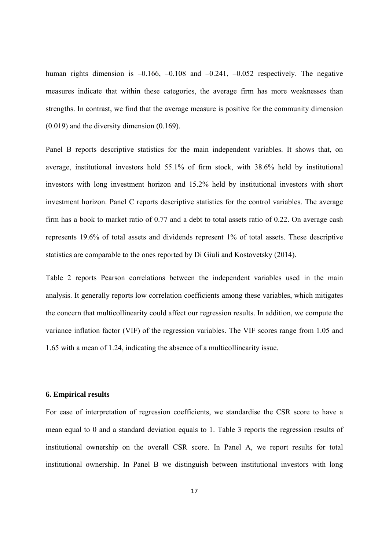human rights dimension is  $-0.166$ ,  $-0.108$  and  $-0.241$ ,  $-0.052$  respectively. The negative measures indicate that within these categories, the average firm has more weaknesses than strengths. In contrast, we find that the average measure is positive for the community dimension (0.019) and the diversity dimension (0.169).

Panel B reports descriptive statistics for the main independent variables. It shows that, on average, institutional investors hold 55.1% of firm stock, with 38.6% held by institutional investors with long investment horizon and 15.2% held by institutional investors with short investment horizon. Panel C reports descriptive statistics for the control variables. The average firm has a book to market ratio of 0.77 and a debt to total assets ratio of 0.22. On average cash represents 19.6% of total assets and dividends represent 1% of total assets. These descriptive statistics are comparable to the ones reported by Di Giuli and Kostovetsky (2014).

Table 2 reports Pearson correlations between the independent variables used in the main analysis. It generally reports low correlation coefficients among these variables, which mitigates the concern that multicollinearity could affect our regression results. In addition, we compute the variance inflation factor (VIF) of the regression variables. The VIF scores range from 1.05 and 1.65 with a mean of 1.24, indicating the absence of a multicollinearity issue.

### **6. Empirical results**

For ease of interpretation of regression coefficients, we standardise the CSR score to have a mean equal to 0 and a standard deviation equals to 1. Table 3 reports the regression results of institutional ownership on the overall CSR score. In Panel A, we report results for total institutional ownership. In Panel B we distinguish between institutional investors with long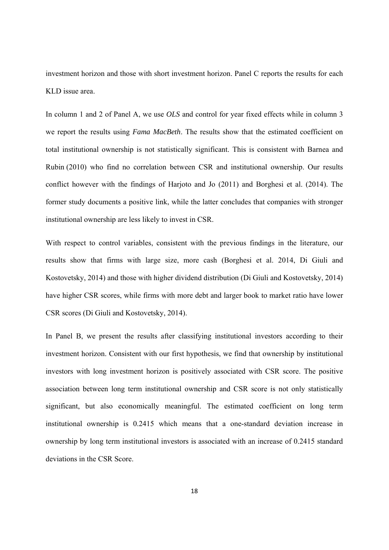investment horizon and those with short investment horizon. Panel C reports the results for each KLD issue area.

In column 1 and 2 of Panel A, we use *OLS* and control for year fixed effects while in column 3 we report the results using *Fama MacBeth*. The results show that the estimated coefficient on total institutional ownership is not statistically significant. This is consistent with Barnea and Rubin (2010) who find no correlation between CSR and institutional ownership. Our results conflict however with the findings of Harjoto and Jo (2011) and Borghesi et al. (2014). The former study documents a positive link, while the latter concludes that companies with stronger institutional ownership are less likely to invest in CSR.

With respect to control variables, consistent with the previous findings in the literature, our results show that firms with large size, more cash (Borghesi et al. 2014, Di Giuli and Kostovetsky, 2014) and those with higher dividend distribution (Di Giuli and Kostovetsky, 2014) have higher CSR scores, while firms with more debt and larger book to market ratio have lower CSR scores (Di Giuli and Kostovetsky, 2014).

In Panel B, we present the results after classifying institutional investors according to their investment horizon. Consistent with our first hypothesis, we find that ownership by institutional investors with long investment horizon is positively associated with CSR score. The positive association between long term institutional ownership and CSR score is not only statistically significant, but also economically meaningful. The estimated coefficient on long term institutional ownership is 0.2415 which means that a one-standard deviation increase in ownership by long term institutional investors is associated with an increase of 0.2415 standard deviations in the CSR Score.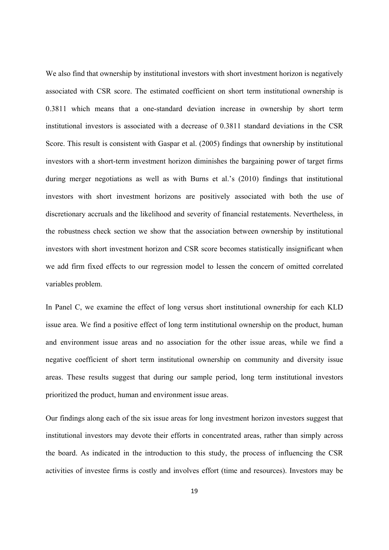We also find that ownership by institutional investors with short investment horizon is negatively associated with CSR score. The estimated coefficient on short term institutional ownership is 0.3811 which means that a one-standard deviation increase in ownership by short term institutional investors is associated with a decrease of 0.3811 standard deviations in the CSR Score. This result is consistent with Gaspar et al. (2005) findings that ownership by institutional investors with a short-term investment horizon diminishes the bargaining power of target firms during merger negotiations as well as with Burns et al.'s (2010) findings that institutional investors with short investment horizons are positively associated with both the use of discretionary accruals and the likelihood and severity of financial restatements. Nevertheless, in the robustness check section we show that the association between ownership by institutional investors with short investment horizon and CSR score becomes statistically insignificant when we add firm fixed effects to our regression model to lessen the concern of omitted correlated variables problem.

In Panel C, we examine the effect of long versus short institutional ownership for each KLD issue area. We find a positive effect of long term institutional ownership on the product, human and environment issue areas and no association for the other issue areas, while we find a negative coefficient of short term institutional ownership on community and diversity issue areas. These results suggest that during our sample period, long term institutional investors prioritized the product, human and environment issue areas.

Our findings along each of the six issue areas for long investment horizon investors suggest that institutional investors may devote their efforts in concentrated areas, rather than simply across the board. As indicated in the introduction to this study, the process of influencing the CSR activities of investee firms is costly and involves effort (time and resources). Investors may be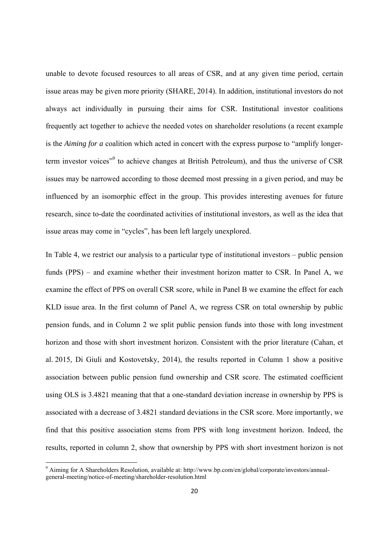unable to devote focused resources to all areas of CSR, and at any given time period, certain issue areas may be given more priority (SHARE, 2014). In addition, institutional investors do not always act individually in pursuing their aims for CSR. Institutional investor coalitions frequently act together to achieve the needed votes on shareholder resolutions (a recent example is the *Aiming for a* coalition which acted in concert with the express purpose to "amplify longerterm investor voices<sup>"9</sup> to achieve changes at British Petroleum), and thus the universe of CSR issues may be narrowed according to those deemed most pressing in a given period, and may be influenced by an isomorphic effect in the group. This provides interesting avenues for future research, since to-date the coordinated activities of institutional investors, as well as the idea that issue areas may come in "cycles", has been left largely unexplored.

In Table 4, we restrict our analysis to a particular type of institutional investors – public pension funds (PPS) – and examine whether their investment horizon matter to CSR. In Panel A, we examine the effect of PPS on overall CSR score, while in Panel B we examine the effect for each KLD issue area. In the first column of Panel A, we regress CSR on total ownership by public pension funds, and in Column 2 we split public pension funds into those with long investment horizon and those with short investment horizon. Consistent with the prior literature (Cahan, et al. 2015, Di Giuli and Kostovetsky, 2014), the results reported in Column 1 show a positive association between public pension fund ownership and CSR score. The estimated coefficient using OLS is 3.4821 meaning that that a one-standard deviation increase in ownership by PPS is associated with a decrease of 3.4821 standard deviations in the CSR score. More importantly, we find that this positive association stems from PPS with long investment horizon. Indeed, the results, reported in column 2, show that ownership by PPS with short investment horizon is not

<sup>&</sup>lt;sup>9</sup> Aiming for A Shareholders Resolution, available at: http://www.bp.com/en/global/corporate/investors/annualgeneral-meeting/notice-of-meeting/shareholder-resolution.html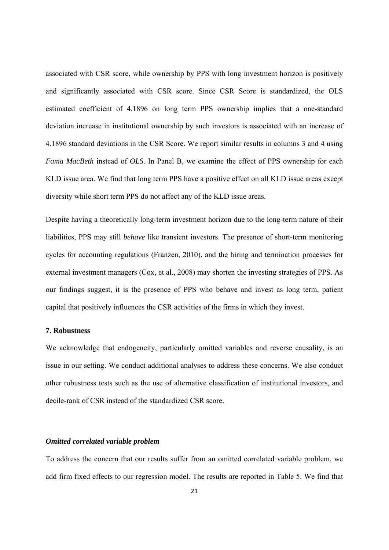associated with CSR score, while ownership by PPS with long investment horizon is positively and significantly associated with CSR score. Since CSR Score is standardized, the OLS estimated coefficient of 4.1896 on long term PPS ownership implies that a one-standard deviation increase in institutional ownership by such investors is associated with an increase of 4.1896 standard deviations in the CSR Score. We report similar results in columns 3 and 4 using *Fama MacBeth* instead of *OLS*. In Panel B, we examine the effect of PPS ownership for each KLD issue area. We find that long term PPS have a positive effect on all KLD issue areas except diversity while short term PPS do not affect any of the KLD issue areas.

Despite having a theoretically long-term investment horizon due to the long-term nature of their liabilities, PPS may still *behave* like transient investors. The presence of short-term monitoring cycles for accounting regulations (Franzen, 2010), and the hiring and termination processes for external investment managers (Cox, et al., 2008) may shorten the investing strategies of PPS. As our findings suggest, it is the presence of PPS who behave and invest as long term, patient capital that positively influences the CSR activities of the firms in which they invest.

## **7. Robustness**

We acknowledge that endogeneity, particularly omitted variables and reverse causality, is an issue in our setting. We conduct additional analyses to address these concerns. We also conduct other robustness tests such as the use of alternative classification of institutional investors, and decile-rank of CSR instead of the standardized CSR score.

#### *Omitted correlated variable problem*

To address the concern that our results suffer from an omitted correlated variable problem, we add firm fixed effects to our regression model. The results are reported in Table 5. We find that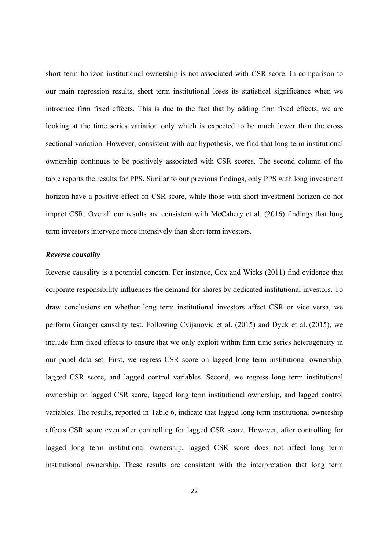short term horizon institutional ownership is not associated with CSR score. In comparison to our main regression results, short term institutional loses its statistical significance when we introduce firm fixed effects. This is due to the fact that by adding firm fixed effects, we are looking at the time series variation only which is expected to be much lower than the cross sectional variation. However, consistent with our hypothesis, we find that long term institutional ownership continues to be positively associated with CSR scores. The second column of the table reports the results for PPS. Similar to our previous findings, only PPS with long investment horizon have a positive effect on CSR score, while those with short investment horizon do not impact CSR. Overall our results are consistent with McCahery et al. (2016) findings that long term investors intervene more intensively than short term investors.

## *Reverse causality*

Reverse causality is a potential concern. For instance, Cox and Wicks (2011) find evidence that corporate responsibility influences the demand for shares by dedicated institutional investors. To draw conclusions on whether long term institutional investors affect CSR or vice versa, we perform Granger causality test. Following Cvijanovic et al. (2015) and Dyck et al. (2015), we include firm fixed effects to ensure that we only exploit within firm time series heterogeneity in our panel data set. First, we regress CSR score on lagged long term institutional ownership, lagged CSR score, and lagged control variables. Second, we regress long term institutional ownership on lagged CSR score, lagged long term institutional ownership, and lagged control variables. The results, reported in Table 6, indicate that lagged long term institutional ownership affects CSR score even after controlling for lagged CSR score. However, after controlling for lagged long term institutional ownership, lagged CSR score does not affect long term institutional ownership. These results are consistent with the interpretation that long term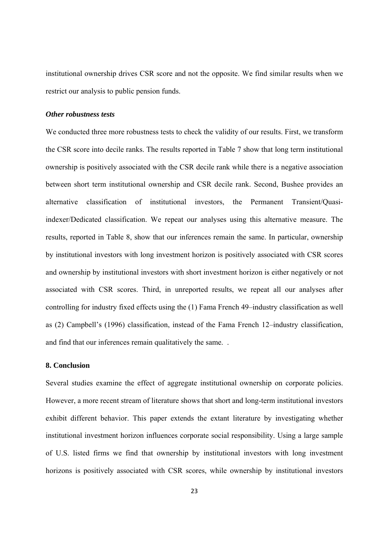institutional ownership drives CSR score and not the opposite. We find similar results when we restrict our analysis to public pension funds.

#### *Other robustness tests*

We conducted three more robustness tests to check the validity of our results. First, we transform the CSR score into decile ranks. The results reported in Table 7 show that long term institutional ownership is positively associated with the CSR decile rank while there is a negative association between short term institutional ownership and CSR decile rank. Second, Bushee provides an alternative classification of institutional investors, the Permanent Transient/Quasiindexer/Dedicated classification. We repeat our analyses using this alternative measure. The results, reported in Table 8, show that our inferences remain the same. In particular, ownership by institutional investors with long investment horizon is positively associated with CSR scores and ownership by institutional investors with short investment horizon is either negatively or not associated with CSR scores. Third, in unreported results, we repeat all our analyses after controlling for industry fixed effects using the (1) Fama French 49–industry classification as well as (2) Campbell's (1996) classification, instead of the Fama French 12–industry classification, and find that our inferences remain qualitatively the same. .

#### **8. Conclusion**

Several studies examine the effect of aggregate institutional ownership on corporate policies. However, a more recent stream of literature shows that short and long-term institutional investors exhibit different behavior. This paper extends the extant literature by investigating whether institutional investment horizon influences corporate social responsibility. Using a large sample of U.S. listed firms we find that ownership by institutional investors with long investment horizons is positively associated with CSR scores, while ownership by institutional investors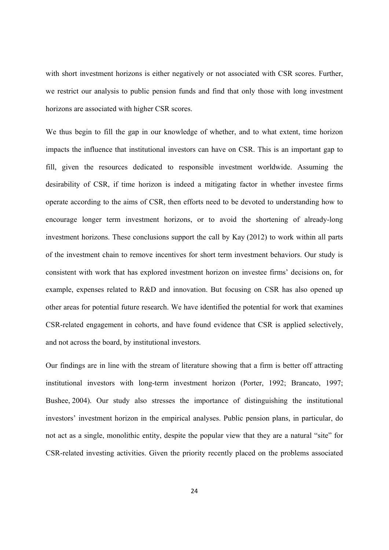with short investment horizons is either negatively or not associated with CSR scores. Further, we restrict our analysis to public pension funds and find that only those with long investment horizons are associated with higher CSR scores.

We thus begin to fill the gap in our knowledge of whether, and to what extent, time horizon impacts the influence that institutional investors can have on CSR. This is an important gap to fill, given the resources dedicated to responsible investment worldwide. Assuming the desirability of CSR, if time horizon is indeed a mitigating factor in whether investee firms operate according to the aims of CSR, then efforts need to be devoted to understanding how to encourage longer term investment horizons, or to avoid the shortening of already-long investment horizons. These conclusions support the call by Kay (2012) to work within all parts of the investment chain to remove incentives for short term investment behaviors. Our study is consistent with work that has explored investment horizon on investee firms' decisions on, for example, expenses related to R&D and innovation. But focusing on CSR has also opened up other areas for potential future research. We have identified the potential for work that examines CSR-related engagement in cohorts, and have found evidence that CSR is applied selectively, and not across the board, by institutional investors.

Our findings are in line with the stream of literature showing that a firm is better off attracting institutional investors with long-term investment horizon (Porter, 1992; Brancato, 1997; Bushee, 2004). Our study also stresses the importance of distinguishing the institutional investors' investment horizon in the empirical analyses. Public pension plans, in particular, do not act as a single, monolithic entity, despite the popular view that they are a natural "site" for CSR-related investing activities. Given the priority recently placed on the problems associated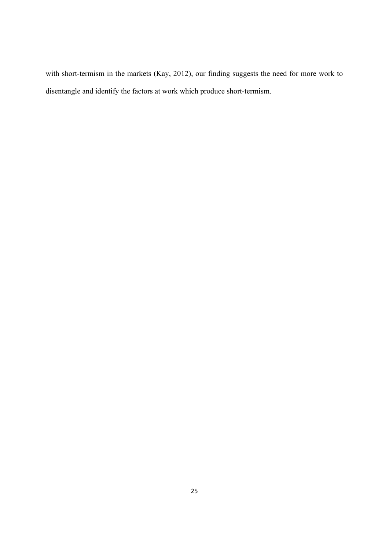with short-termism in the markets (Kay, 2012), our finding suggests the need for more work to disentangle and identify the factors at work which produce short-termism.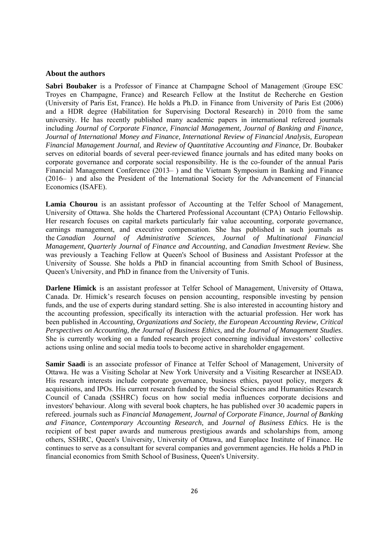#### **About the authors**

**Sabri Boubaker** is a Professor of Finance at Champagne School of Management (Groupe ESC) Troyes en Champagne, France) and Research Fellow at the Institut de Recherche en Gestion (University of Paris Est, France). He holds a Ph.D. in Finance from University of Paris Est (2006) and a HDR degree (Habilitation for Supervising Doctoral Research) in 2010 from the same university. He has recently published many academic papers in international refereed journals including *Journal of Corporate Finance, Financial Management, Journal of Banking and Finance, Journal of International Money and Finance, International Review of Financial Analysis, European Financial Management Journal,* and *Review of Quantitative Accounting and Finance,* Dr. Boubaker serves on editorial boards of several peer-reviewed finance journals and has edited many books on corporate governance and corporate social responsibility. He is the co-founder of the annual Paris Financial Management Conference (2013– ) and the Vietnam Symposium in Banking and Finance (2016– ) and also the President of the International Society for the Advancement of Financial Economics (ISAFE).

Lamia Chourou is an assistant professor of Accounting at the Telfer School of Management, University of Ottawa. She holds the Chartered Professional Accountant (CPA) Ontario Fellowship. Her research focuses on capital markets particularly fair value accounting, corporate governance, earnings management, and executive compensation. She has published in such journals as the *Canadian Journal of Administrative Sciences, Journal of Multinational Financial Management, Quarterly Journal of Finance and Accounting*, and *Canadian Investment Review.* She was previously a Teaching Fellow at Queen's School of Business and Assistant Professor at the University of Sousse. She holds a PhD in financial accounting from Smith School of Business, Queen's University, and PhD in finance from the University of Tunis.

**Darlene Himick** is an assistant professor at Telfer School of Management, University of Ottawa, Canada. Dr. Himick's research focuses on pension accounting, responsible investing by pension funds, and the use of experts during standard setting. She is also interested in accounting history and the accounting profession, specifically its interaction with the actuarial profession. Her work has been published in *Accounting, Organizations and Society, the European Accounting Review, Critical Perspectives on Accounting, the Journal of Business Ethics,* and *the Journal of Management Studies*. She is currently working on a funded research project concerning individual investors' collective actions using online and social media tools to become active in shareholder engagement.

**Samir Saadi** is an associate professor of Finance at Telfer School of Management, University of Ottawa. He was a Visiting Scholar at New York University and a Visiting Researcher at INSEAD. His research interests include corporate governance, business ethics, payout policy, mergers  $\&$ acquisitions, and IPOs. His current research funded by the Social Sciences and Humanities Research Council of Canada (SSHRC) focus on how social media influences corporate decisions and investors' behaviour. Along with several book chapters, he has published over 30 academic papers in refereed. journals such as *Financial Management, Journal of Corporate Finance, Journal of Banking and Finance, Contemporary Accounting Research,* and *Journal of Business Ethics.* He is the recipient of best paper awards and numerous prestigious awards and scholarships from, among others, SSHRC, Queen's University, University of Ottawa, and Europlace Institute of Finance. He continues to serve as a consultant for several companies and government agencies. He holds a PhD in financial economics from Smith School of Business, Queen's University.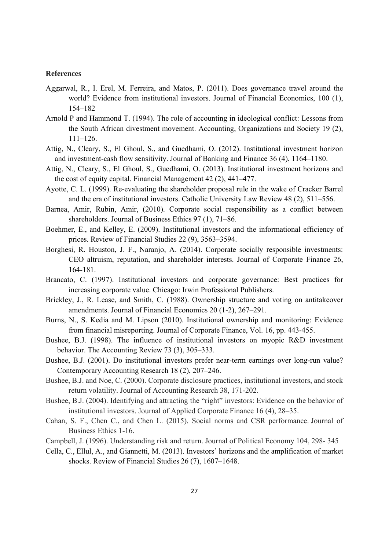#### **References**

- Aggarwal, R., I. Erel, M. Ferreira, and Matos, P. (2011). Does governance travel around the world? Evidence from institutional investors. Journal of Financial Economics, 100 (1), 154–182
- Arnold P and Hammond T. (1994). The role of accounting in ideological conflict: Lessons from the South African divestment movement. Accounting, Organizations and Society 19 (2), 111–126.
- Attig, N., Cleary, S., El Ghoul, S., and Guedhami, O. (2012). Institutional investment horizon and investment-cash flow sensitivity. Journal of Banking and Finance 36 (4), 1164–1180.
- Attig, N., Cleary, S., El Ghoul, S., Guedhami, O. (2013). Institutional investment horizons and the cost of equity capital. Financial Management 42 (2), 441–477.
- Ayotte, C. L. (1999). Re-evaluating the shareholder proposal rule in the wake of Cracker Barrel and the era of institutional investors. Catholic University Law Review 48 (2), 511–556.
- Barnea, Amir, Rubin, Amir, (2010). Corporate social responsibility as a conflict between shareholders. Journal of Business Ethics 97 (1), 71–86.
- Boehmer, E., and Kelley, E. (2009). Institutional investors and the informational efficiency of prices. Review of Financial Studies 22 (9), 3563–3594.
- Borghesi, R. Houston, J. F., Naranjo, A. (2014). Corporate socially responsible investments: CEO altruism, reputation, and shareholder interests. Journal of Corporate Finance 26, 164-181.
- Brancato, C. (1997). Institutional investors and corporate governance: Best practices for increasing corporate value. Chicago: Irwin Professional Publishers.
- Brickley, J., R. Lease, and Smith, C. (1988). Ownership structure and voting on antitakeover amendments. Journal of Financial Economics 20 (1-2), 267–291.
- Burns, N., S. Kedia and M. Lipson (2010). Institutional ownership and monitoring: Evidence from financial misreporting. Journal of Corporate Finance, Vol. 16, pp. 443-455.
- Bushee, B.J. (1998). The influence of institutional investors on myopic R&D investment behavior. The Accounting Review 73 (3), 305–333.
- Bushee, B.J. (2001). Do institutional investors prefer near-term earnings over long-run value? Contemporary Accounting Research 18 (2), 207–246.
- Bushee, B.J. and Noe, C. (2000). Corporate disclosure practices, institutional investors, and stock return volatility. Journal of Accounting Research 38, 171-202.
- Bushee, B.J. (2004). Identifying and attracting the "right" investors: Evidence on the behavior of institutional investors. Journal of Applied Corporate Finance 16 (4), 28–35.
- Cahan, S. F., Chen C., and Chen L. (2015). Social norms and CSR performance. Journal of Business Ethics 1-16.
- Campbell, J. (1996). Understanding risk and return. Journal of Political Economy 104, 298- 345
- Cella, C., Ellul, A., and Giannetti, M. (2013). Investors' horizons and the amplification of market shocks. Review of Financial Studies 26 (7), 1607–1648.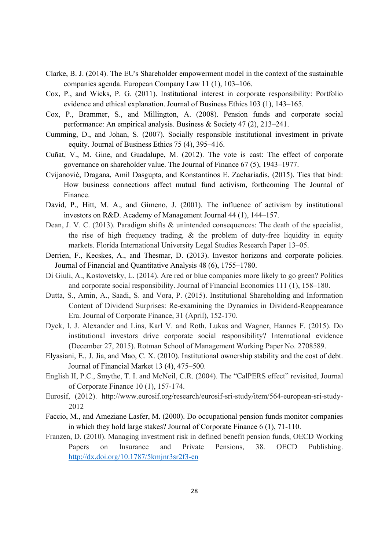- Clarke, B. J. (2014). The EU's Shareholder empowerment model in the context of the sustainable companies agenda. European Company Law 11 (1), 103–106.
- Cox, P., and Wicks, P. G. (2011). Institutional interest in corporate responsibility: Portfolio evidence and ethical explanation. Journal of Business Ethics 103 (1), 143–165.
- Cox, P., Brammer, S., and Millington, A. (2008). Pension funds and corporate social performance: An empirical analysis. Business & Society 47 (2), 213–241.
- Cumming, D., and Johan, S. (2007). Socially responsible institutional investment in private equity. Journal of Business Ethics 75 (4), 395–416.
- Cuñat, V., M. Gine, and Guadalupe, M. (2012). The vote is cast: The effect of corporate governance on shareholder value. The Journal of Finance 67 (5), 1943–1977.
- Cvijanović, Dragana, Amil Dasgupta, and Konstantinos E. Zachariadis, (2015). Ties that bind: How business connections affect mutual fund activism, forthcoming The Journal of Finance.
- David, P., Hitt, M. A., and Gimeno, J. (2001). The influence of activism by institutional investors on R&D. Academy of Management Journal 44 (1), 144–157.
- Dean, J. V. C. (2013). Paradigm shifts & unintended consequences: The death of the specialist, the rise of high frequency trading, & the problem of duty-free liquidity in equity markets. Florida International University Legal Studies Research Paper 13–05.
- Derrien, F., Kecskes, A., and Thesmar, D. (2013). Investor horizons and corporate policies. Journal of Financial and Quantitative Analysis 48 (6), 1755–1780.
- Di Giuli, A., Kostovetsky, L. (2014). Are red or blue companies more likely to go green? Politics and corporate social responsibility. Journal of Financial Economics 111 (1), 158–180.
- Dutta, S., Amin, A., Saadi, S. and Vora, P. (2015). Institutional Shareholding and Information Content of Dividend Surprises: Re-examining the Dynamics in Dividend-Reappearance Era. Journal of Corporate Finance, 31 (April), 152-170.
- Dyck, I. J. Alexander and Lins, Karl V. and Roth, Lukas and Wagner, Hannes F. (2015). Do institutional investors drive corporate social responsibility? International evidence (December 27, 2015). Rotman School of Management Working Paper No. 2708589.
- Elyasiani, E., J. Jia, and Mao, C. X. (2010). Institutional ownership stability and the cost of debt. Journal of Financial Market 13 (4), 475–500.
- English II, P.C., Smythe, T. I. and McNeil, C.R. (2004). The "CalPERS effect" revisited, Journal of Corporate Finance 10 (1), 157-174.
- Eurosif, (2012). http://www.eurosif.org/research/eurosif-sri-study/item/564-european-sri-study-2012
- Faccio, M., and Ameziane Lasfer, M. (2000). Do occupational pension funds monitor companies in which they hold large stakes? Journal of Corporate Finance 6 (1), 71-110.
- Franzen, D. (2010). Managing investment risk in defined benefit pension funds, OECD Working Papers on Insurance and Private Pensions, 38. OECD Publishing. http://dx.doi.org/10.1787/5kmjnr3sr2f3-en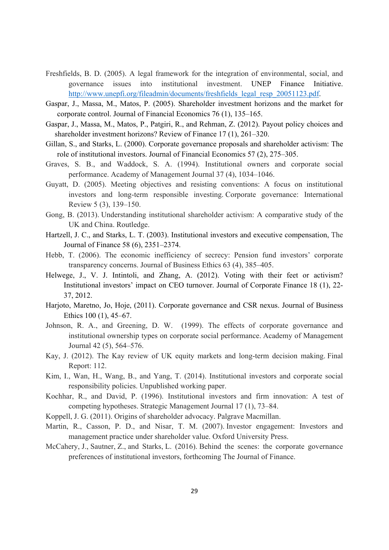- Freshfields, B. D. (2005). A legal framework for the integration of environmental, social, and governance issues into institutional investment. UNEP Finance Initiative. http://www.unepfi.org/fileadmin/documents/freshfields legal resp 20051123.pdf.
- Gaspar, J., Massa, M., Matos, P. (2005). Shareholder investment horizons and the market for corporate control. Journal of Financial Economics 76 (1), 135–165.
- Gaspar, J., Massa, M., Matos, P., Patgiri, R., and Rehman, Z. (2012). Payout policy choices and shareholder investment horizons? Review of Finance 17 (1), 261–320.
- Gillan, S., and Starks, L. (2000). Corporate governance proposals and shareholder activism: The role of institutional investors. Journal of Financial Economics 57 (2), 275–305.
- Graves, S. B., and Waddock, S. A. (1994). Institutional owners and corporate social performance. Academy of Management Journal 37 (4), 1034–1046.
- Guyatt, D. (2005). Meeting objectives and resisting conventions: A focus on institutional investors and long-term responsible investing. Corporate governance: International Review 5 (3), 139–150.
- Gong, B. (2013). Understanding institutional shareholder activism: A comparative study of the UK and China. Routledge.
- Hartzell, J. C., and Starks, L. T. (2003). Institutional investors and executive compensation, The Journal of Finance 58 (6), 2351–2374.
- Hebb, T. (2006). The economic inefficiency of secrecy: Pension fund investors' corporate transparency concerns. Journal of Business Ethics 63 (4), 385–405.
- Helwege, J., V. J. Intintoli, and Zhang, A. (2012). Voting with their feet or activism? Institutional investors' impact on CEO turnover. Journal of Corporate Finance 18 (1), 22- 37, 2012.
- Harjoto, Maretno, Jo, Hoje, (2011). Corporate governance and CSR nexus. Journal of Business Ethics 100 (1), 45–67.
- Johnson, R. A., and Greening, D. W. (1999). The effects of corporate governance and institutional ownership types on corporate social performance. Academy of Management Journal 42 (5), 564–576.
- Kay, J. (2012). The Kay review of UK equity markets and long-term decision making. Final Report: 112.
- Kim, I., Wan, H., Wang, B., and Yang, T. (2014). Institutional investors and corporate social responsibility policies. Unpublished working paper.
- Kochhar, R., and David, P. (1996). Institutional investors and firm innovation: A test of competing hypotheses. Strategic Management Journal 17 (1), 73–84.
- Koppell, J. G. (2011). Origins of shareholder advocacy. Palgrave Macmillan.
- Martin, R., Casson, P. D., and Nisar, T. M. (2007). Investor engagement: Investors and management practice under shareholder value. Oxford University Press.
- McCahery, J., Sautner, Z., and Starks, L. (2016). Behind the scenes: the corporate governance preferences of institutional investors, forthcoming The Journal of Finance.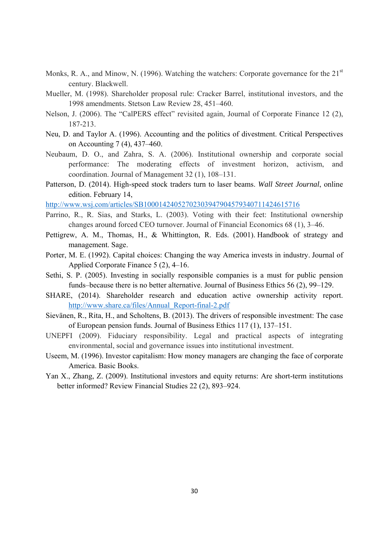- Monks, R. A., and Minow, N. (1996). Watching the watchers: Corporate governance for the  $21<sup>st</sup>$ century. Blackwell.
- Mueller, M. (1998). Shareholder proposal rule: Cracker Barrel, institutional investors, and the 1998 amendments. Stetson Law Review 28, 451–460.
- Nelson, J. (2006). The "CalPERS effect" revisited again, Journal of Corporate Finance 12 (2), 187-213.
- Neu, D. and Taylor A. (1996). Accounting and the politics of divestment. Critical Perspectives on Accounting 7 (4), 437–460.
- Neubaum, D. O., and Zahra, S. A. (2006). Institutional ownership and corporate social performance: The moderating effects of investment horizon, activism, and coordination. Journal of Management 32 (1), 108–131.
- Patterson, D. (2014). High-speed stock traders turn to laser beams. *Wall Street Journal*, online edition. February 14,

http://www.wsj.com/articles/SB10001424052702303947904579340711424615716

- Parrino, R., R. Sias, and Starks, L. (2003). Voting with their feet: Institutional ownership changes around forced CEO turnover. Journal of Financial Economics 68 (1), 3–46.
- Pettigrew, A. M., Thomas, H., & Whittington, R. Eds. (2001). Handbook of strategy and management. Sage.
- Porter, M. E. (1992). Capital choices: Changing the way America invests in industry. Journal of Applied Corporate Finance 5 (2), 4–16.
- Sethi, S. P. (2005). Investing in socially responsible companies is a must for public pension funds–because there is no better alternative. Journal of Business Ethics 56 (2), 99–129.
- SHARE, (2014). Shareholder research and education active ownership activity report. http://www.share.ca/files/Annual\_Report-final-2.pdf
- Sievänen, R., Rita, H., and Scholtens, B. (2013). The drivers of responsible investment: The case of European pension funds. Journal of Business Ethics 117 (1), 137–151.
- UNEPFI (2009). Fiduciary responsibility. Legal and practical aspects of integrating environmental, social and governance issues into institutional investment.
- Useem, M. (1996). Investor capitalism: How money managers are changing the face of corporate America. Basic Books.
- Yan X., Zhang, Z. (2009). Institutional investors and equity returns: Are short-term institutions better informed? Review Financial Studies 22 (2), 893–924.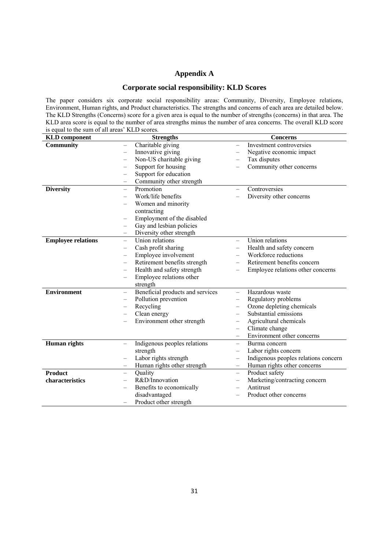## **Appendix A**

## **Corporate social responsibility: KLD Scores**

The paper considers six corporate social responsibility areas: Community, Diversity, Employee relations, Environment, Human rights, and Product characteristics. The strengths and concerns of each area are detailed below. The KLD Strengths (Concerns) score for a given area is equal to the number of strengths (concerns) in that area. The KLD area score is equal to the number of area strengths minus the number of area concerns. The overall KLD score is equal to the sum of all areas' KLD scores.

| <b>KLD</b> component      | <b>Strengths</b>                                             | <b>Concerns</b>                                               |
|---------------------------|--------------------------------------------------------------|---------------------------------------------------------------|
| <b>Community</b>          | Charitable giving<br>$\overline{\phantom{0}}$                | Investment controversies<br>$\equiv$                          |
|                           | Innovative giving<br>$\overline{\phantom{0}}$                | Negative economic impact<br>$\overline{\phantom{0}}$          |
|                           | Non-US charitable giving<br>$\overline{\phantom{0}}$         | Tax disputes                                                  |
|                           | Support for housing                                          | Community other concerns                                      |
|                           | Support for education                                        |                                                               |
|                           | Community other strength                                     |                                                               |
| <b>Diversity</b>          | Promotion<br>$\overline{\phantom{0}}$                        | Controversies<br>$\equiv$                                     |
|                           | Work/life benefits                                           | Diversity other concerns<br>$\overline{\phantom{0}}$          |
|                           | Women and minority                                           |                                                               |
|                           | contracting                                                  |                                                               |
|                           | Employment of the disabled<br>$\overline{\phantom{0}}$       |                                                               |
|                           | Gay and lesbian policies<br>—                                |                                                               |
|                           | Diversity other strength<br>$\overline{\phantom{m}}$         |                                                               |
| <b>Employee relations</b> | Union relations<br>$\overline{\phantom{0}}$                  | Union relations<br>$\equiv$                                   |
|                           | Cash profit sharing<br>$\overline{\phantom{0}}$              | Health and safety concern<br>$\equiv$                         |
|                           | Employee involvement<br>$\overline{\phantom{0}}$             | Workforce reductions                                          |
|                           | Retirement benefits strength<br>$\qquad \qquad -$            | Retirement benefits concern<br>$\overline{\phantom{0}}$       |
|                           | Health and safety strength<br>$\qquad \qquad \longleftarrow$ | Employee relations other concerns<br>$\overline{\phantom{0}}$ |
|                           | Employee relations other<br>$\overline{\phantom{0}}$         |                                                               |
|                           | strength                                                     |                                                               |
| <b>Environment</b>        | Beneficial products and services<br>$\overline{\phantom{0}}$ | Hazardous waste<br>$\equiv$                                   |
|                           | Pollution prevention<br>$\overline{\phantom{0}}$             | Regulatory problems<br>$\equiv$                               |
|                           | Recycling                                                    | Ozone depleting chemicals<br>$\equiv$                         |
|                           | Clean energy<br>$\overline{\phantom{0}}$                     | Substantial emissions<br>$\overline{\phantom{0}}$             |
|                           | Environment other strength<br>$\overline{\phantom{0}}$       | Agricultural chemicals<br>$\overline{\phantom{0}}$            |
|                           |                                                              | Climate change<br>$\overline{\phantom{0}}$                    |
|                           |                                                              | Environment other concerns<br>$\equiv$                        |
| <b>Human</b> rights       | Indigenous peoples relations<br>$\overline{\phantom{0}}$     | Burma concern<br>$\equiv$                                     |
|                           | strength                                                     | Labor rights concern<br>$\overline{\phantom{0}}$              |
|                           | Labor rights strength                                        | Indigenous peoples relations concern                          |
|                           | Human rights other strength                                  | Human rights other concerns<br>$\equiv$                       |
| <b>Product</b>            | Quality<br>$\qquad \qquad -$                                 | Product safety<br>-                                           |
| characteristics           | R&D/Innovation<br>$\overline{\phantom{0}}$                   | Marketing/contracting concern<br>$\overline{\phantom{0}}$     |
|                           | Benefits to economically<br>$\overline{\phantom{0}}$         | Antitrust<br>$\overline{\phantom{0}}$                         |
|                           | disadvantaged                                                | Product other concerns                                        |
|                           | Product other strength<br>$\overline{\phantom{0}}$           |                                                               |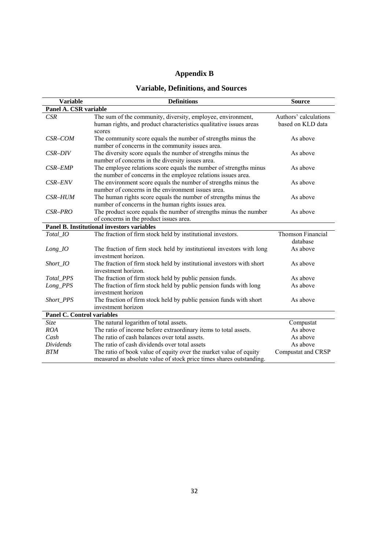# **Appendix B**

# **Variable, Definitions, and Sources**

| <b>Variable</b>                   | <b>Definitions</b>                                                    | <b>Source</b>         |
|-----------------------------------|-----------------------------------------------------------------------|-----------------------|
| Panel A. CSR variable             |                                                                       |                       |
| CSR                               | The sum of the community, diversity, employee, environment,           | Authors' calculations |
|                                   | human rights, and product characteristics qualitative issues areas    | based on KLD data     |
|                                   | scores                                                                |                       |
| $CSR$ -COM                        | The community score equals the number of strengths minus the          | As above              |
|                                   | number of concerns in the community issues area.                      |                       |
| CSR-DIV                           | The diversity score equals the number of strengths minus the          | As above              |
|                                   | number of concerns in the diversity issues area.                      |                       |
| CSR-EMP                           | The employee relations score equals the number of strengths minus     | As above              |
|                                   | the number of concerns in the employee relations issues area.         |                       |
| CSR-ENV                           | The environment score equals the number of strengths minus the        | As above              |
|                                   | number of concerns in the environment issues area.                    |                       |
| CSR-HUM                           | The human rights score equals the number of strengths minus the       | As above              |
|                                   | number of concerns in the human rights issues area.                   |                       |
| $CSR-PRO$                         | The product score equals the number of strengths minus the number     | As above              |
|                                   | of concerns in the product issues area.                               |                       |
|                                   | <b>Panel B. Institutional investors variables</b>                     |                       |
| Total IO                          | The fraction of firm stock held by institutional investors.           | Thomson Financial     |
|                                   |                                                                       | database              |
| $Long\_IO$                        | The fraction of firm stock held by institutional investors with long  | As above              |
|                                   | investment horizon.                                                   |                       |
| Short_IO                          | The fraction of firm stock held by institutional investors with short | As above              |
|                                   | investment horizon.                                                   |                       |
| Total_PPS                         | The fraction of firm stock held by public pension funds.              | As above              |
| Long_PPS                          | The fraction of firm stock held by public pension funds with long     | As above              |
|                                   | investment horizon                                                    |                       |
| Short_PPS                         | The fraction of firm stock held by public pension funds with short    | As above              |
|                                   | investment horizon                                                    |                       |
| <b>Panel C. Control variables</b> |                                                                       |                       |
| Size                              | The natural logarithm of total assets.                                | Compustat             |
| <b>ROA</b>                        | The ratio of income before extraordinary items to total assets.       | As above              |
| Cash                              | The ratio of cash balances over total assets.                         | As above              |
| <b>Dividends</b>                  | The ratio of cash dividends over total assets                         | As above              |
| <b>BTM</b>                        | The ratio of book value of equity over the market value of equity     | Compustat and CRSP    |
|                                   | measured as absolute value of stock price times shares outstanding.   |                       |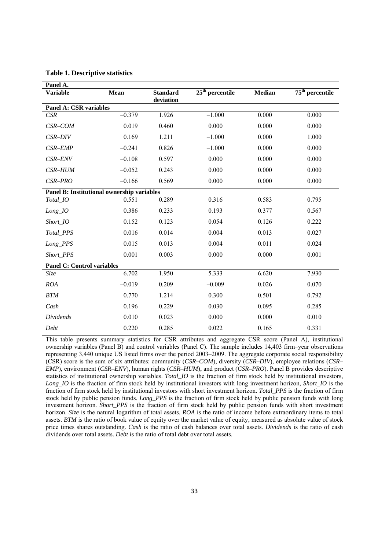| Panel A.                                   |          |                              |                   |               |                   |
|--------------------------------------------|----------|------------------------------|-------------------|---------------|-------------------|
| <b>Variable</b>                            | Mean     | <b>Standard</b><br>deviation | $25th$ percentile | <b>Median</b> | $75th$ percentile |
| Panel A: CSR variables                     |          |                              |                   |               |                   |
| CSR                                        | $-0.379$ | 1.926                        | $-1.000$          | 0.000         | 0.000             |
| CSR-COM                                    | 0.019    | 0.460                        | 0.000             | 0.000         | 0.000             |
| CSR-DIV                                    | 0.169    | 1.211                        | $-1.000$          | 0.000         | 1.000             |
| CSR-EMP                                    | $-0.241$ | 0.826                        | $-1.000$          | 0.000         | 0.000             |
| CSR-ENV                                    | $-0.108$ | 0.597                        | 0.000             | 0.000         | 0.000             |
| CSR-HUM                                    | $-0.052$ | 0.243                        | 0.000             | 0.000         | 0.000             |
| CSR-PRO                                    | $-0.166$ | 0.569                        | 0.000             | 0.000         | 0.000             |
| Panel B: Institutional ownership variables |          |                              |                   |               |                   |
| Total_IO                                   | 0.551    | 0.289                        | 0.316             | 0.583         | 0.795             |
| $Long\_IO$                                 | 0.386    | 0.233                        | 0.193             | 0.377         | 0.567             |
| Short_IO                                   | 0.152    | 0.123                        | 0.054             | 0.126         | 0.222             |
| Total_PPS                                  | 0.016    | 0.014                        | 0.004             | 0.013         | 0.027             |
| Long_PPS                                   | 0.015    | 0.013                        | 0.004             | 0.011         | 0.024             |
| Short_PPS                                  | 0.001    | 0.003                        | 0.000             | 0.000         | 0.001             |
| <b>Panel C: Control variables</b>          |          |                              |                   |               |                   |
| Size                                       | 6.702    | 1.950                        | 5.333             | 6.620         | 7.930             |
| <b>ROA</b>                                 | $-0.019$ | 0.209                        | $-0.009$          | 0.026         | 0.070             |
| <b>BTM</b>                                 | 0.770    | 1.214                        | 0.300             | 0.501         | 0.792             |
| Cash                                       | 0.196    | 0.229                        | 0.030             | 0.095         | 0.285             |
| Dividends                                  | 0.010    | 0.023                        | 0.000             | 0.000         | 0.010             |
| Debt                                       | 0.220    | 0.285                        | 0.022             | 0.165         | 0.331             |
|                                            |          |                              |                   |               |                   |

**Table 1. Descriptive statistics** 

This table presents summary statistics for CSR attributes and aggregate CSR score (Panel A), institutional ownership variables (Panel B) and control variables (Panel C). The sample includes 14,403 firm–year observations representing 3,440 unique US listed firms over the period 2003–2009. The aggregate corporate social responsibility (CSR) score is the sum of six attributes: community (*CSR–COM*), diversity (*CSR–DIV*), employee relations (*CSR– EMP*), environment (*CSR–ENV*), human rights (*CSR–HUM*), and product (*CSR–PRO*). Panel B provides descriptive statistics of institutional ownership variables. *Total\_IO* is the fraction of firm stock held by institutional investors, *Long IO* is the fraction of firm stock held by institutional investors with long investment horizon, *Short IO* is the fraction of firm stock held by institutional investors with short investment horizon. *Total\_PPS* is the fraction of firm stock held by public pension funds. *Long\_PPS* is the fraction of firm stock held by public pension funds with long investment horizon. *Short PPS* is the fraction of firm stock held by public pension funds with short investment horizon. *Size* is the natural logarithm of total assets. *ROA* is the ratio of income before extraordinary items to total assets. *BTM* is the ratio of book value of equity over the market value of equity, measured as absolute value of stock price times shares outstanding. *Cash* is the ratio of cash balances over total assets. *Dividends* is the ratio of cash dividends over total assets. *Debt* is the ratio of total debt over total assets.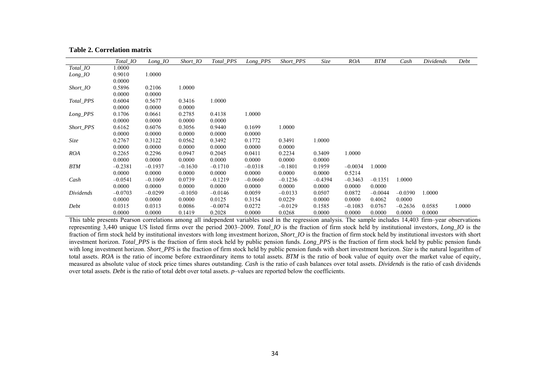|  | <b>Table 2. Correlation matrix</b> |  |
|--|------------------------------------|--|
|--|------------------------------------|--|

|            | Total IO  | $Long\_IO$ | Short_IO  | Total_PPS | Long_PPS  | <i>Short_PPS</i> | Size      | <b>ROA</b> | <b>BTM</b> | Cash      | Dividends | Debt   |
|------------|-----------|------------|-----------|-----------|-----------|------------------|-----------|------------|------------|-----------|-----------|--------|
| Total_IO   | 1.0000    |            |           |           |           |                  |           |            |            |           |           |        |
| Long_IO    | 0.9010    | 1.0000     |           |           |           |                  |           |            |            |           |           |        |
|            | 0.0000    |            |           |           |           |                  |           |            |            |           |           |        |
| Short_IO   | 0.5896    | 0.2106     | 1.0000    |           |           |                  |           |            |            |           |           |        |
|            | 0.0000    | 0.0000     |           |           |           |                  |           |            |            |           |           |        |
| Total_PPS  | 0.6004    | 0.5677     | 0.3416    | 1.0000    |           |                  |           |            |            |           |           |        |
|            | 0.0000    | 0.0000     | 0.0000    |           |           |                  |           |            |            |           |           |        |
| Long_PPS   | 0.1706    | 0.0661     | 0.2785    | 0.4138    | 1.0000    |                  |           |            |            |           |           |        |
|            | 0.0000    | 0.0000     | 0.0000    | 0.0000    |           |                  |           |            |            |           |           |        |
| Short_PPS  | 0.6162    | 0.6076     | 0.3056    | 0.9440    | 0.1699    | 1.0000           |           |            |            |           |           |        |
|            | 0.0000    | 0.0000     | 0.0000    | 0.0000    | 0.0000    |                  |           |            |            |           |           |        |
| Size       | 0.2767    | 0.3122     | 0.0562    | 0.3492    | 0.1772    | 0.3491           | 1.0000    |            |            |           |           |        |
|            | 0.0000    | 0.0000     | 0.0000    | 0.0000    | 0.0000    | 0.0000           |           |            |            |           |           |        |
| <b>ROA</b> | 0.2265    | 0.2296     | 0.0947    | 0.2045    | 0.0411    | 0.2234           | 0.3409    | 1.0000     |            |           |           |        |
|            | 0.0000    | 0.0000     | 0.0000    | 0.0000    | 0.0000    | 0.0000           | 0.0000    |            |            |           |           |        |
| <b>BTM</b> | $-0.2381$ | $-0.1937$  | $-0.1630$ | $-0.1710$ | $-0.0318$ | $-0.1801$        | 0.1959    | $-0.0034$  | 1.0000     |           |           |        |
|            | 0.0000    | 0.0000     | 0.0000    | 0.0000    | 0.0000    | 0.0000           | 0.0000    | 0.5214     |            |           |           |        |
| Cash       | $-0.0541$ | $-0.1069$  | 0.0739    | $-0.1219$ | $-0.0660$ | $-0.1236$        | $-0.4394$ | $-0.3463$  | $-0.1351$  | 1.0000    |           |        |
|            | 0.0000    | 0.0000     | 0.0000    | 0.0000    | 0.0000    | 0.0000           | 0.0000    | 0.0000     | 0.0000     |           |           |        |
| Dividends  | $-0.0703$ | $-0.0299$  | $-0.1050$ | $-0.0146$ | 0.0059    | $-0.0133$        | 0.0507    | 0.0872     | $-0.0044$  | $-0.0390$ | 1.0000    |        |
|            | 0.0000    | 0.0000     | 0.0000    | 0.0125    | 0.3154    | 0.0229           | 0.0000    | 0.0000     | 0.4062     | 0.0000    |           |        |
| Debt       | 0.0315    | 0.0313     | 0.0086    | $-0.0074$ | 0.0272    | $-0.0129$        | 0.1585    | $-0.1083$  | 0.0767     | $-0.2636$ | 0.0585    | 1.0000 |
|            | 0.0000    | 0.0000     | 0.1419    | 0.2028    | 0.0000    | 0.0268           | 0.0000    | 0.0000     | 0.0000     | 0.0000    | 0.0000    |        |

This table presents Pearson correlations among all independent variables used in the regression analysis. The sample includes 14,403 firm–year observations representing 3,440 unique US listed firms over the period 2003–2009. *Total\_IO* is the fraction of firm stock held by institutional investors, *Long\_IO* is the fraction of firm stock held by institutional investors with long investment horizon, *Short 10* is the fraction of firm stock held by institutional investors with short investment horizon. *Total\_PPS* is the fraction of firm stock held by public pension funds. *Long\_PPS* is the fraction of firm stock held by public pension funds with long investment horizon. *Short PPS* is the fraction of firm stock held by public pension funds with short investment horizon. *Size* is the natural logarithm of total assets. *ROA* is the ratio of income before extraordinary items to total assets. *BTM* is the ratio of book value of equity over the market value of equity, measured as absolute value of stock price times shares outstanding. *Cash* is the ratio of cash balances over total assets. *Dividends* is the ratio of cash dividends over total assets. *Debt* is the ratio of total debt over total assets. *p*–values are reported below the coefficients.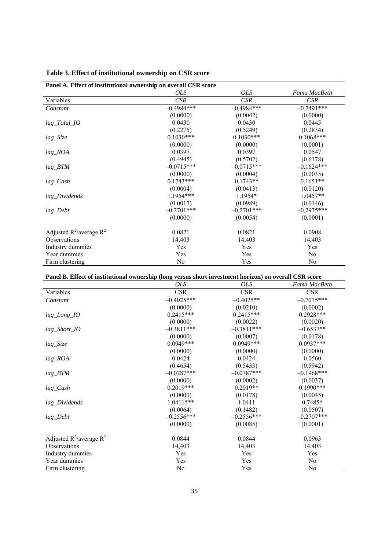| Panel A. Effect of institutional ownership on overall CSR score |              |              |              |  |  |  |
|-----------------------------------------------------------------|--------------|--------------|--------------|--|--|--|
|                                                                 | <b>OLS</b>   | <b>OLS</b>   | Fama MacBeth |  |  |  |
| Variables                                                       | <b>CSR</b>   | <b>CSR</b>   | <b>CSR</b>   |  |  |  |
| Constant                                                        | $-0.4984***$ | $-0.4984***$ | $-0.7491***$ |  |  |  |
|                                                                 | (0.0000)     | (0.0042)     | (0.0000)     |  |  |  |
| lag_Total_IO                                                    | 0.0430       | 0.0430       | 0.0445       |  |  |  |
|                                                                 | (0.2275)     | (0.5249)     | (0.2834)     |  |  |  |
| lag_Size                                                        | $0.1030***$  | $0.1030***$  | $0.1068***$  |  |  |  |
|                                                                 | (0.0000)     | (0.0000)     | (0.0001)     |  |  |  |
| lag_ROA                                                         | 0.0397       | 0.0397       | 0.0547       |  |  |  |
|                                                                 | (0.4945)     | (0.5702)     | (0.6178)     |  |  |  |
| $lag\_BTM$                                                      | $-0.0715***$ | $-0.0715***$ | $-0.1624***$ |  |  |  |
|                                                                 | (0.0000)     | (0.0004)     | (0.0035)     |  |  |  |
| lag_Cash                                                        | $0.1743***$  | $0.1743**$   | $0.1651**$   |  |  |  |
|                                                                 | (0.0004)     | (0.0413)     | (0.0120)     |  |  |  |
| lag_Dividends                                                   | $1.1954***$  | $1.1954*$    | $1.0457**$   |  |  |  |
|                                                                 | (0.0017)     | (0.0989)     | (0.0146)     |  |  |  |
| lag_Debt                                                        | $-0.2701***$ | $-0.2701***$ | $-0.2975***$ |  |  |  |
|                                                                 | (0.0000)     | (0.0054)     | (0.0001)     |  |  |  |
| Adjusted $R^2$ /average $R^2$                                   | 0.0821       | 0.0821       | 0.0908       |  |  |  |
| <b>Observations</b>                                             | 14,403       | 14,403       | 14,403       |  |  |  |
| Industry dummies                                                | Yes          | Yes          | Yes          |  |  |  |
| Year dummies                                                    | Yes          | Yes          | No           |  |  |  |
| Firm clustering                                                 | No           | Yes          | No           |  |  |  |

| Table 3. Effect of institutional ownership on CSR score |  |  |
|---------------------------------------------------------|--|--|
|---------------------------------------------------------|--|--|

**Panel B. Effect of institutional ownership (long versus short investment horizon) on overall CSR score** 

| and by Effect of Historian of Herbing (tong versus short investment horizon) on overall core seen | <i>OLS</i>   | OLS          | Fama MacBeth   |
|---------------------------------------------------------------------------------------------------|--------------|--------------|----------------|
| Variables                                                                                         | <b>CSR</b>   | <b>CSR</b>   | <b>CSR</b>     |
| Constant                                                                                          | $-0.4025***$ | $-0.4025**$  | $-0.7075***$   |
|                                                                                                   | (0.0000)     | (0.0210)     | (0.0002)       |
| lag_Long_IO                                                                                       | $0.2415***$  | $0.2415***$  | $0.2928***$    |
|                                                                                                   | (0.0000)     | (0.0022)     | (0.0020)       |
| lag_Short_IO                                                                                      | $-0.3811***$ | $-0.3811***$ | $-0.6537**$    |
|                                                                                                   | (0.0000)     | (0.0007)     | (0.0178)       |
| lag_Size                                                                                          | $0.0949***$  | $0.0949***$  | $0.0937***$    |
|                                                                                                   | (0.0000)     | (0.0000)     | (0.0000)       |
| lag_ROA                                                                                           | 0.0424       | 0.0424       | 0.0560         |
|                                                                                                   | (0.4654)     | (0.5433)     | (0.5942)       |
| $lag\_BTM$                                                                                        | $-0.0787***$ | $-0.0787***$ | $-0.1968$ ***  |
|                                                                                                   | (0.0000)     | (0.0002)     | (0.0037)       |
| lag_Cash                                                                                          | $0.2019***$  | $0.2019**$   | $0.1990***$    |
|                                                                                                   | (0.0000)     | (0.0178)     | (0.0045)       |
| lag_Dividends                                                                                     | $1.0411***$  | 1.0411       | 0.7485*        |
|                                                                                                   | (0.0064)     | (0.1482)     | (0.0507)       |
| lag_Debt                                                                                          | $-0.2556***$ | $-0.2556***$ | $-0.2707***$   |
|                                                                                                   | (0.0000)     | (0.0085)     | (0.0001)       |
| Adjusted $R^2$ /average $R^2$                                                                     | 0.0844       | 0.0844       | 0.0963         |
| Observations                                                                                      | 14,403       | 14,403       | 14,403         |
| Industry dummies                                                                                  | Yes          | Yes          | Yes            |
| Year dummies                                                                                      | Yes          | Yes          | N <sub>0</sub> |
| Firm clustering                                                                                   | No           | Yes          | N <sub>0</sub> |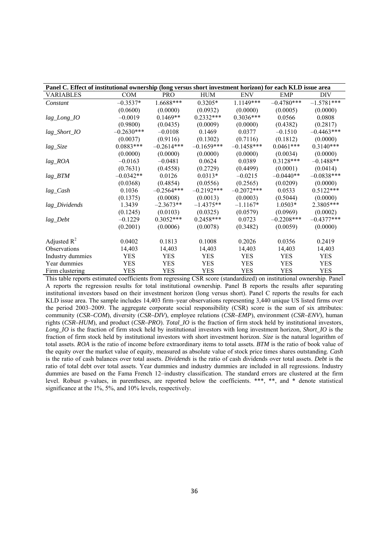| Panel C. Effect of institutional ownership (long versus short investment horizon) for each KLD issue area |              |              |              |               |              |              |
|-----------------------------------------------------------------------------------------------------------|--------------|--------------|--------------|---------------|--------------|--------------|
| <b>VARIABLES</b>                                                                                          | <b>COM</b>   | <b>PRO</b>   | HUM          | <b>ENV</b>    | <b>EMP</b>   | DIV          |
| Constant                                                                                                  | $-0.3537*$   | 1.6688***    | $0.3205*$    | $1.1149***$   | $-0.4780***$ | $-1.5781***$ |
|                                                                                                           | (0.0600)     | (0.0000)     | (0.0932)     | (0.0000)      | (0.0005)     | (0.0000)     |
| lag_Long_IO                                                                                               | $-0.0019$    | $0.1469**$   | $0.2332***$  | $0.3036***$   | 0.0566       | 0.0808       |
|                                                                                                           | (0.9800)     | (0.0435)     | (0.0009)     | (0.0000)      | (0.4382)     | (0.2817)     |
| lag_Short_IO                                                                                              | $-0.2630***$ | $-0.0108$    | 0.1469       | 0.0377        | $-0.1510$    | $-0.4463***$ |
|                                                                                                           | (0.0037)     | (0.9116)     | (0.1302)     | (0.7116)      | (0.1812)     | (0.0000)     |
| lag_Size                                                                                                  | $0.0883***$  | $-0.2614***$ | $-0.1659***$ | $-0.1458***$  | $0.0461***$  | $0.3140***$  |
|                                                                                                           | (0.0000)     | (0.0000)     | (0.0000)     | (0.0000)      | (0.0034)     | (0.0000)     |
| $lag\_ROA$                                                                                                | $-0.0163$    | $-0.0481$    | 0.0624       | 0.0389        | $0.3128***$  | $-0.1488**$  |
|                                                                                                           | (0.7631)     | (0.4558)     | (0.2729)     | (0.4499)      | (0.0001)     | (0.0414)     |
| $lag\_BTM$                                                                                                | $-0.0342**$  | 0.0126       | $0.0313*$    | $-0.0215$     | $-0.0440**$  | $-0.0838***$ |
|                                                                                                           | (0.0368)     | (0.4854)     | (0.0556)     | (0.2565)      | (0.0209)     | (0.0000)     |
| lag_Cash                                                                                                  | 0.1036       | $-0.2564***$ | $-0.2192***$ | $-0.2072$ *** | 0.0533       | $0.5122***$  |
|                                                                                                           | (0.1375)     | (0.0008)     | (0.0013)     | (0.0003)      | (0.5044)     | (0.0000)     |
| lag_Dividends                                                                                             | 1.3439       | $-2.3673**$  | $-1.4375**$  | $-1.1167*$    | 1.0503*      | 2.3805***    |
|                                                                                                           | (0.1245)     | (0.0103)     | (0.0325)     | (0.0579)      | (0.0969)     | (0.0002)     |
| lag_Debt                                                                                                  | $-0.1229$    | $0.3052***$  | $0.2458***$  | 0.0723        | $-0.2208***$ | $-0.4377***$ |
|                                                                                                           | (0.2001)     | (0.0006)     | (0.0078)     | (0.3482)      | (0.0059)     | (0.0000)     |
| Adjusted $R^2$                                                                                            | 0.0402       | 0.1813       | 0.1008       | 0.2026        | 0.0356       | 0.2419       |
| Observations                                                                                              | 14,403       | 14,403       | 14,403       | 14,403        | 14,403       | 14,403       |
| Industry dummies                                                                                          | <b>YES</b>   | YES          | <b>YES</b>   | <b>YES</b>    | <b>YES</b>   | YES          |
| Year dummies                                                                                              | <b>YES</b>   | YES          | <b>YES</b>   | YES           | <b>YES</b>   | YES          |
| Firm clustering                                                                                           | YES          | YES          | <b>YES</b>   | YES           | <b>YES</b>   | YES          |

This table reports estimated coefficients from regressing CSR score (standardized) on institutional ownership. Panel A reports the regression results for total institutional ownership. Panel B reports the results after separating institutional investors based on their investment horizon (long versus short). Panel C reports the results for each KLD issue area. The sample includes 14,403 firm–year observations representing 3,440 unique US listed firms over the period 2003–2009. The aggregate corporate social responsibility (CSR) score is the sum of six attributes: community (*CSR–COM*), diversity (*CSR–DIV*), employee relations (*CSR–EMP*), environment (*CSR–ENV*), human rights (*CSR–HUM*), and product (*CSR–PRO*). *Total\_IO* is the fraction of firm stock held by institutional investors, *Long IO* is the fraction of firm stock held by institutional investors with long investment horizon, *Short IO* is the fraction of firm stock held by institutional investors with short investment horizon. *Size* is the natural logarithm of total assets. *ROA* is the ratio of income before extraordinary items to total assets. *BTM* is the ratio of book value of the equity over the market value of equity, measured as absolute value of stock price times shares outstanding. *Cash* is the ratio of cash balances over total assets. *Dividends* is the ratio of cash dividends over total assets. *Debt* is the ratio of total debt over total assets. Year dummies and industry dummies are included in all regressions. Industry dummies are based on the Fama French 12–industry classification. The standard errors are clustered at the firm level. Robust p–values, in parentheses, are reported below the coefficients. \*\*\*, \*\*, and \* denote statistical significance at the 1%, 5%, and 10% levels, respectively.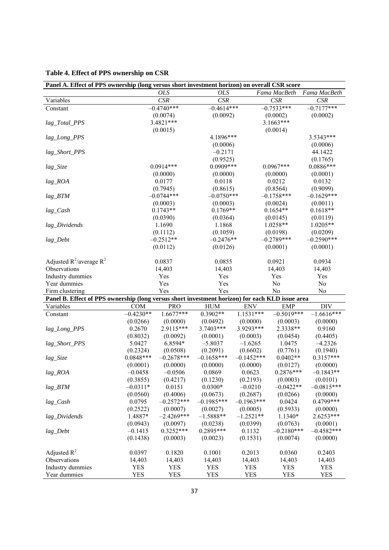| Panel A. Effect of PPS ownership (long versus short investment horizon) on overall CSR score    |             |              |              |              |              |              |
|-------------------------------------------------------------------------------------------------|-------------|--------------|--------------|--------------|--------------|--------------|
|                                                                                                 |             | <b>OLS</b>   | <b>OLS</b>   |              | Fama MacBeth | Fama MacBeth |
| Variables                                                                                       |             | CSR          | CSR          |              | CSR          | <b>CSR</b>   |
| Constant                                                                                        |             | $-0.4740***$ | $-0.4614***$ |              | $-0.7533***$ | $-0.7177***$ |
|                                                                                                 |             | (0.0074)     | (0.0092)     |              | (0.0002)     | (0.0002)     |
| lag_Total_PPS                                                                                   |             | 3.4821***    |              |              | $3.1663***$  |              |
|                                                                                                 |             | (0.0015)     |              |              | (0.0014)     |              |
| lag_Long_PPS                                                                                    |             |              | 4.1896***    |              |              | 3.5343***    |
|                                                                                                 |             |              | (0.0006)     |              |              | (0.0006)     |
| lag_Short_PPS                                                                                   |             |              | $-0.2171$    |              |              | 44.1422      |
|                                                                                                 |             |              | (0.9525)     |              |              | (0.1765)     |
| lag_Size                                                                                        |             | $0.0914***$  | $0.0909***$  |              | $0.0967***$  | $0.0886***$  |
|                                                                                                 |             | (0.0000)     | (0.0000)     |              | (0.0000)     | (0.0001)     |
| lag_ROA                                                                                         |             | 0.0177       | 0.0118       |              | 0.0212       | 0.0132       |
|                                                                                                 |             | (0.7945)     | (0.8615)     |              | (0.8564)     | (0.9099)     |
| $lag\_BTM$                                                                                      |             | $-0.0744***$ | $-0.0750***$ |              | $-0.1758***$ | $-0.1629***$ |
|                                                                                                 |             | (0.0003)     | (0.0003)     |              | (0.0024)     | (0.0011)     |
| lag_Cash                                                                                        |             | $0.1743**$   | $0.1769**$   |              | $0.1654**$   | $0.1618**$   |
|                                                                                                 |             | (0.0390)     | (0.0364)     |              | (0.0145)     | (0.0119)     |
| lag_Dividends                                                                                   |             | 1.1690       | 1.1868       |              | 1.0258**     | $1.0205**$   |
|                                                                                                 |             | (0.1112)     | (0.1059)     |              | (0.0198)     | (0.0209)     |
| lag_Debt                                                                                        |             | $-0.2512**$  | $-0.2476**$  |              | $-0.2789***$ | $-0.2590***$ |
|                                                                                                 |             | (0.0112)     | (0.0126)     |              | (0.0001)     | (0.0001)     |
|                                                                                                 |             |              |              |              |              |              |
| Adjusted $R^2$ /average $R^2$                                                                   |             | 0.0837       | 0.0855       |              | 0.0921       | 0.0934       |
| Observations                                                                                    |             | 14,403       | 14,403       |              | 14,403       | 14,403       |
| Industry dummies                                                                                |             | Yes          | Yes          |              | Yes          | Yes          |
| Year dummies                                                                                    |             | Yes          | Yes          |              | No           | No           |
| Firm clustering                                                                                 |             | Yes          | Yes          |              | No           | No           |
| Panel B. Effect of PPS ownership (long versus short investment horizon) for each KLD issue area |             |              |              |              |              |              |
| Variables                                                                                       | <b>COM</b>  | <b>PRO</b>   | <b>HUM</b>   | <b>ENV</b>   | <b>EMP</b>   | <b>DIV</b>   |
| Constant                                                                                        | $-0.4230**$ | $1.6677***$  | $0.3902**$   | $1.1531***$  | $-0.5019***$ | $-1.6616***$ |
|                                                                                                 | (0.0266)    | (0.0000)     | (0.0492)     | (0.0000)     | (0.0003)     | (0.0000)     |
| lag_Long_PPS                                                                                    | 0.2670      | 2.9115***    | 3.7403***    | 3.9293***    | 2.3338**     | 0.9160       |
|                                                                                                 | (0.8032)    | (0.0092)     | (0.0001)     | (0.0003)     | (0.0454)     | (0.4405)     |
| lag_Short_PPS                                                                                   | 5.0427      | 6.8594*      | $-5.8037$    | $-1.6265$    | 1.0475       | $-4.2326$    |
|                                                                                                 | (0.2324)    | (0.0508)     | (0.2091)     | (0.6602)     | (0.7761)     | (0.1940)     |
| lag_Size                                                                                        | $0.0848***$ | $-0.2678***$ | $-0.1658***$ | $-0.1452***$ | $0.0402**$   | $0.3157***$  |
|                                                                                                 | (0.0001)    | (0.0000)     | (0.0000)     | (0.0000)     | (0.0127)     | (0.0000)     |
| $lag\_ROA$                                                                                      | $-0.0458$   | $-0.0506$    | 0.0869       | 0.0623       | $0.2876***$  | $-0.1843**$  |
|                                                                                                 | (0.3855)    | (0.4217)     | (0.1230)     | (0.2193)     | (0.0003)     | (0.0101)     |
| $lag\_BTM$                                                                                      | $-0.0311*$  | 0.0151       | $0.0300*$    | $-0.0210$    | $-0.0422**$  | $-0.0815***$ |
|                                                                                                 | (0.0560)    | (0.4006)     | (0.0673)     | (0.2687)     | (0.0266)     | (0.0000)     |
| lag_Cash                                                                                        | 0.0795      | $-0.2572***$ | $-0.1985***$ | $-0.1963***$ | 0.0424       | 0.4799***    |
|                                                                                                 | (0.2522)    | (0.0007)     | (0.0027)     | (0.0005)     | (0.5933)     | (0.0000)     |
| lag_Dividends                                                                                   | 1.4887*     | $-2.4269***$ | $-1.5888**$  | $-1.2521**$  | 1.1340*      | 2.6253***    |
|                                                                                                 | (0.0943)    | (0.0097)     | (0.0238)     | (0.0399)     | (0.0763)     | (0.0001)     |
| lag_Debt                                                                                        | $-0.1415$   | $0.3252***$  | 0.2895***    | 0.1132       | $-0.2180***$ | $-0.4582***$ |
|                                                                                                 | (0.1438)    | (0.0003)     | (0.0023)     | (0.1531)     | (0.0074)     | (0.0000)     |
|                                                                                                 |             |              |              |              |              |              |
| Adjusted $R^2$                                                                                  | 0.0397      | 0.1820       | 0.1001       | 0.2013       | 0.0360       | 0.2403       |
| Observations                                                                                    | 14,403      | 14,403       | 14,403       | 14,403       | 14,403       | 14,403       |
| Industry dummies                                                                                | <b>YES</b>  | <b>YES</b>   | <b>YES</b>   | <b>YES</b>   | <b>YES</b>   | <b>YES</b>   |
| Year dummies                                                                                    | <b>YES</b>  | <b>YES</b>   | <b>YES</b>   | <b>YES</b>   | <b>YES</b>   | <b>YES</b>   |

# **Table 4. Effect of PPS ownership on CSR**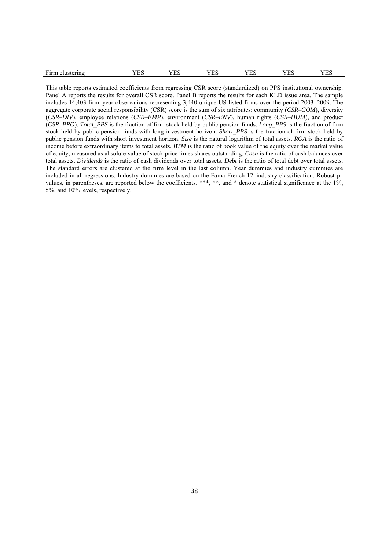|  | $\sim$<br>Firm clustering | - -<br>∸ | نتخلط | $T_{\rm T}$<br>تا سا | ᅩ | - ⊥∿ | $\sim$<br>- 12 L |
|--|---------------------------|----------|-------|----------------------|---|------|------------------|
|--|---------------------------|----------|-------|----------------------|---|------|------------------|

This table reports estimated coefficients from regressing CSR score (standardized) on PPS institutional ownership. Panel A reports the results for overall CSR score. Panel B reports the results for each KLD issue area. The sample includes 14,403 firm–year observations representing 3,440 unique US listed firms over the period 2003–2009. The aggregate corporate social responsibility (CSR) score is the sum of six attributes: community (*CSR–COM*), diversity (*CSR–DIV*), employee relations (*CSR–EMP*), environment (*CSR–ENV*), human rights (*CSR–HUM*), and product (*CSR–PRO*). *Total\_PPS* is the fraction of firm stock held by public pension funds. *Long\_PPS* is the fraction of firm stock held by public pension funds with long investment horizon. *Short\_PPS* is the fraction of firm stock held by public pension funds with short investment horizon. *Size* is the natural logarithm of total assets. *ROA* is the ratio of income before extraordinary items to total assets. *BTM* is the ratio of book value of the equity over the market value of equity, measured as absolute value of stock price times shares outstanding. *Cash* is the ratio of cash balances over total assets. *Dividends* is the ratio of cash dividends over total assets. *Debt* is the ratio of total debt over total assets. The standard errors are clustered at the firm level in the last column. Year dummies and industry dummies are included in all regressions. Industry dummies are based on the Fama French 12–industry classification. Robust p– values, in parentheses, are reported below the coefficients. \*\*\*, \*\*, and \* denote statistical significance at the 1%, 5%, and 10% levels, respectively.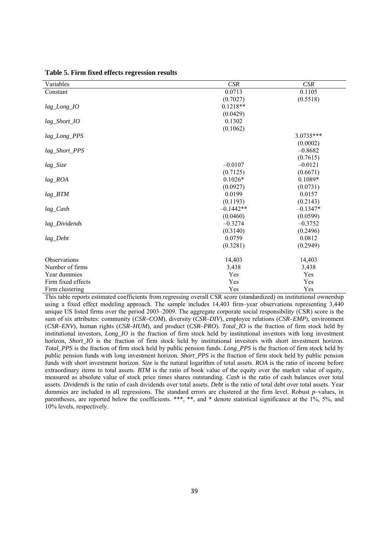| Variables           | CSR         | CSR        |
|---------------------|-------------|------------|
| Constant            | 0.0713      | 0.1105     |
|                     | (0.7027)    | (0.5518)   |
| lag_Long_IO         | $0.1218**$  |            |
|                     | (0.0429)    |            |
| lag_Short_IO        | 0.1302      |            |
|                     | (0.1062)    |            |
| lag_Long_PPS        |             | 3.0735***  |
|                     |             | (0.0002)   |
| lag_Short_PPS       |             | $-0.8682$  |
|                     |             | (0.7615)   |
| lag_Size            | $-0.0107$   | $-0.0121$  |
|                     | (0.7125)    | (0.6671)   |
| $lag\_ROA$          | $0.1026*$   | $0.1089*$  |
|                     | (0.0927)    | (0.0731)   |
| $lag\_BTM$          | 0.0199      | 0.0157     |
|                     | (0.1193)    | (0.2143)   |
| lag_Cash            | $-0.1442**$ | $-0.1347*$ |
|                     | (0.0460)    | (0.0599)   |
| lag_Dividends       | $-0.3274$   | $-0.3752$  |
|                     | (0.3140)    | (0.2496)   |
| lag_Debt            | 0.0759      | 0.0812     |
|                     | (0.3281)    | (0.2949)   |
| <b>Observations</b> | 14,403      | 14,403     |
| Number of firms     | 3,438       | 3,438      |
| Year dummies        | Yes         | Yes        |
| Firm fixed effects  | Yes         | Yes        |
| Firm clustering     | Yes         | Yes        |

**Table 5. Firm fixed effects regression results** 

This table reports estimated coefficients from regressing overall CSR score (standardized) on institutional ownership using a fixed effect modeling approach. The sample includes 14,403 firm–year observations representing 3,440 unique US listed firms over the period 2003–2009. The aggregate corporate social responsibility (CSR) score is the sum of six attributes: community (*CSR–COM*), diversity (*CSR–DIV*), employee relations (*CSR–EMP*), environment (*CSR–ENV*), human rights (*CSR–HUM*), and product (*CSR–PRO*). *Total\_IO* is the fraction of firm stock held by institutional investors, *Long\_IO* is the fraction of firm stock held by institutional investors with long investment horizon, *Short IO* is the fraction of firm stock held by institutional investors with short investment horizon. *Total\_PPS* is the fraction of firm stock held by public pension funds. *Long\_PPS* is the fraction of firm stock held by public pension funds with long investment horizon. *Short\_PPS* is the fraction of firm stock held by public pension funds with short investment horizon. *Size* is the natural logarithm of total assets. *ROA* is the ratio of income before extraordinary items to total assets. *BTM* is the ratio of book value of the equity over the market value of equity, measured as absolute value of stock price times shares outstanding. *Cash* is the ratio of cash balances over total assets. *Dividends* is the ratio of cash dividends over total assets. *Debt* is the ratio of total debt over total assets. Year dummies are included in all regressions. The standard errors are clustered at the firm level. Robust *p*–values, in parentheses, are reported below the coefficients. \*\*\*, \*\*, and \* denote statistical significance at the 1%, 5%, and 10% levels, respectively.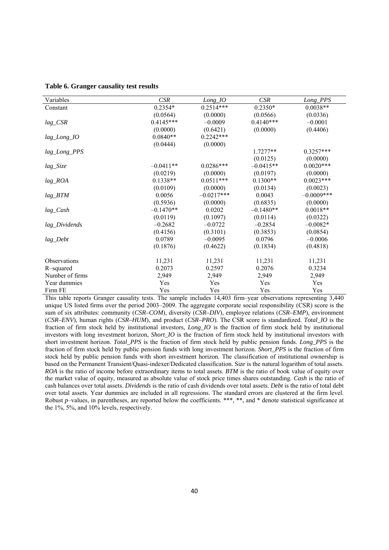| Variables       | CSR         | $Long\_IO$   | CSR         | Long_PPS      |
|-----------------|-------------|--------------|-------------|---------------|
| Constant        | $0.2354*$   | $0.2514***$  | $0.2350*$   | $0.0038**$    |
|                 | (0.0564)    | (0.0000)     | (0.0566)    | (0.0336)      |
| $lag\_CSR$      | $0.4145***$ | $-0.0009$    | $0.4140***$ | $-0.0001$     |
|                 | (0.0000)    | (0.6421)     | (0.0000)    | (0.4406)      |
| lag_Long_IO     | $0.0840**$  | $0.2242***$  |             |               |
|                 | (0.0444)    | (0.0000)     |             |               |
| lag_Long_PPS    |             |              | $1.7277**$  | $0.3257***$   |
|                 |             |              | (0.0125)    | (0.0000)      |
| lag_Size        | $-0.0411**$ | $0.0286***$  | $-0.0415**$ | $0.0020***$   |
|                 | (0.0219)    | (0.0000)     | (0.0197)    | (0.0000)      |
| $lag\_ROA$      | $0.1338**$  | $0.0511***$  | $0.1300**$  | $0.0023***$   |
|                 | (0.0109)    | (0.0000)     | (0.0134)    | (0.0023)      |
| $lag\_BTM$      | 0.0056      | $-0.0217***$ | 0.0043      | $-0.0009$ *** |
|                 | (0.5936)    | (0.0000)     | (0.6835)    | (0.0000)      |
| lag_Cash        | $-0.1470**$ | 0.0202       | $-0.1480**$ | $0.0018**$    |
|                 | (0.0119)    | (0.1097)     | (0.0114)    | (0.0322)      |
| lag_Dividends   | $-0.2682$   | $-0.0722$    | $-0.2854$   | $-0.0082*$    |
|                 | (0.4156)    | (0.3101)     | (0.3853)    | (0.0854)      |
| lag_Debt        | 0.0789      | $-0.0095$    | 0.0796      | $-0.0006$     |
|                 | (0.1876)    | (0.4622)     | (0.1834)    | (0.4818)      |
|                 |             |              |             |               |
| Observations    | 11,231      | 11,231       | 11,231      | 11,231        |
| R-squared       | 0.2073      | 0.2597       | 0.2076      | 0.3234        |
| Number of firms | 2,949       | 2,949        | 2,949       | 2,949         |
| Year dummies    | Yes         | Yes          | Yes         | Yes           |
| Firm FE         | Yes         | Yes          | Yes         | Yes           |

**Table 6. Granger causality test results** 

This table reports Granger causality tests. The sample includes 14,403 firm–year observations representing 3,440 unique US listed firms over the period 2003–2009. The aggregate corporate social responsibility (CSR) score is the sum of six attributes: community (*CSR–COM*), diversity (*CSR–DIV*), employee relations (*CSR–EMP*), environment (*CSR–ENV*), human rights (*CSR–HUM*), and product (*CSR–PRO*). The CSR score is standardized. *Total\_IO* is the fraction of firm stock held by institutional investors, *Long\_IO* is the fraction of firm stock held by institutional investors with long investment horizon, *Short IO* is the fraction of firm stock held by institutional investors with short investment horizon. *Total\_PPS* is the fraction of firm stock held by public pension funds. *Long\_PPS* is the fraction of firm stock held by public pension funds with long investment horizon. *Short\_PPS* is the fraction of firm stock held by public pension funds with short investment horizon. The classification of institutional ownership is based on the Permanent Transient/Quasi-indexer/Dedicated classification. Si*ze* is the natural logarithm of total assets. *ROA* is the ratio of income before extraordinary items to total assets. *BTM* is the ratio of book value of equity over the market value of equity, measured as absolute value of stock price times shares outstanding. *Cash* is the ratio of cash balances over total assets. *Dividends* is the ratio of cash dividends over total assets. *Debt* is the ratio of total debt over total assets. Year dummies are included in all regressions. The standard errors are clustered at the firm level. Robust *p*–values, in parentheses, are reported below the coefficients. \*\*\*, \*\*, and \* denote statistical significance at the 1%, 5%, and 10% levels, respectively.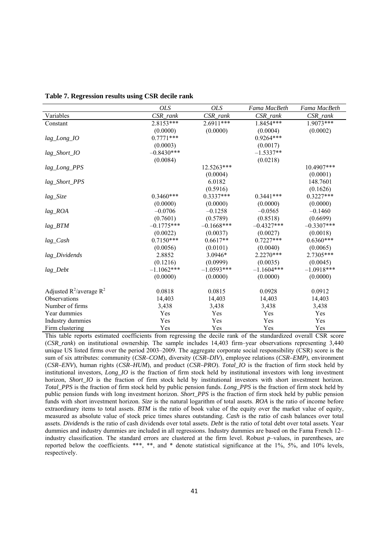|                               | <b>OLS</b>   | <b>OLS</b>   | Fama MacBeth | Fama MacBeth |
|-------------------------------|--------------|--------------|--------------|--------------|
| Variables                     | $CSR\_rank$  | $CSR\_rank$  | CSR rank     | $CSR\_rank$  |
| Constant                      | 2.8153***    | $2.6911***$  | 1.8454***    | $1.9073***$  |
|                               | (0.0000)     | (0.0000)     | (0.0004)     | (0.0002)     |
| lag_Long_IO                   | $0.7771***$  |              | $0.9264***$  |              |
|                               | (0.0003)     |              | (0.0017)     |              |
| lag_Short_IO                  | $-0.8430***$ |              | $-1.5337**$  |              |
|                               | (0.0084)     |              | (0.0218)     |              |
| lag_Long_PPS                  |              | 12.5263***   |              | 10.4907***   |
|                               |              | (0.0004)     |              | (0.0001)     |
| lag_Short_PPS                 |              | 6.0182       |              | 148.7601     |
|                               |              | (0.5916)     |              | (0.1626)     |
| lag_Size                      | $0.3460***$  | $0.3337***$  | $0.3441***$  | $0.3227***$  |
|                               | (0.0000)     | (0.0000)     | (0.0000)     | (0.0000)     |
| lag_ROA                       | $-0.0706$    | $-0.1258$    | $-0.0565$    | $-0.1460$    |
|                               | (0.7601)     | (0.5789)     | (0.8518)     | (0.6699)     |
| $lag\_BTM$                    | $-0.1775***$ | $-0.1668***$ | $-0.4327***$ | $-0.3307***$ |
|                               | (0.0022)     | (0.0037)     | (0.0027)     | (0.0018)     |
| lag_Cash                      | $0.7150***$  | $0.6617**$   | $0.7227***$  | $0.6360***$  |
|                               | (0.0056)     | (0.0101)     | (0.0040)     | (0.0065)     |
| lag_Dividends                 | 2.8852       | $3.0946*$    | 2.2270***    | 2.7305***    |
|                               | (0.1216)     | (0.0999)     | (0.0035)     | (0.0045)     |
| lag_Debt                      | $-1.1062***$ | $-1.0593***$ | $-1.1604***$ | $-1.0918***$ |
|                               | (0.0000)     | (0.0000)     | (0.0000)     | (0.0000)     |
|                               |              |              |              |              |
| Adjusted $R^2$ /average $R^2$ | 0.0818       | 0.0815       | 0.0928       | 0.0912       |
| Observations                  | 14,403       | 14,403       | 14,403       | 14,403       |
| Number of firms               | 3,438        | 3,438        | 3,438        | 3,438        |
| Year dummies                  | Yes          | Yes          | Yes          | Yes          |
| Industry dummies              | Yes          | Yes          | Yes          | Yes          |
| Firm clustering               | Yes          | Yes          | Yes          | Yes          |

**Table 7. Regression results using CSR decile rank** 

This table reports estimated coefficients from regressing the decile rank of the standardized overall CSR score (*CSR\_rank*) on institutional ownership. The sample includes 14,403 firm–year observations representing 3,440 unique US listed firms over the period 2003–2009. The aggregate corporate social responsibility (CSR) score is the sum of six attributes: community (*CSR–COM*), diversity (*CSR–DIV*), employee relations (*CSR–EMP*), environment (*CSR–ENV*), human rights (*CSR–HUM*), and product (*CSR–PRO*). *Total\_IO* is the fraction of firm stock held by institutional investors, *Long\_IO* is the fraction of firm stock held by institutional investors with long investment horizon, *Short IO* is the fraction of firm stock held by institutional investors with short investment horizon. *Total\_PPS* is the fraction of firm stock held by public pension funds. *Long\_PPS* is the fraction of firm stock held by public pension funds with long investment horizon. *Short\_PPS* is the fraction of firm stock held by public pension funds with short investment horizon. *Size* is the natural logarithm of total assets. *ROA* is the ratio of income before extraordinary items to total assets. *BTM* is the ratio of book value of the equity over the market value of equity, measured as absolute value of stock price times shares outstanding. *Cash* is the ratio of cash balances over total assets. *Dividends* is the ratio of cash dividends over total assets. *Debt* is the ratio of total debt over total assets. Year dummies and industry dummies are included in all regressions. Industry dummies are based on the Fama French 12– industry classification. The standard errors are clustered at the firm level. Robust *p*–values, in parentheses, are reported below the coefficients. \*\*\*, \*\*, and \* denote statistical significance at the 1%, 5%, and 10% levels, respectively.